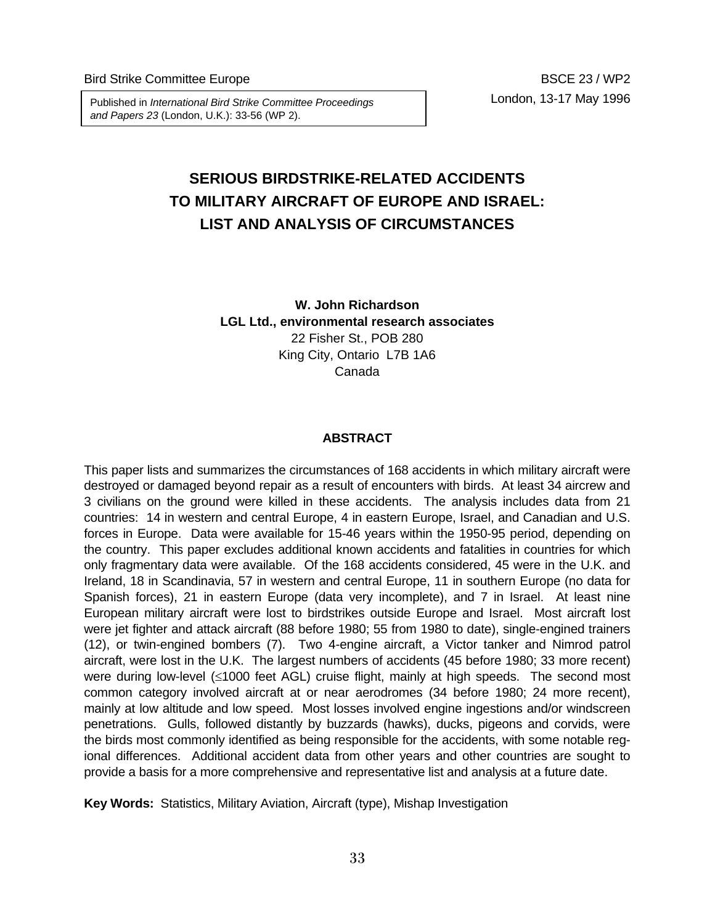London, 13-17 May 1996 Published in *International Bird Strike Committee Proceedings and Papers 23* (London, U.K.): 33-56 (WP 2).

# **SERIOUS BIRDSTRIKE-RELATED ACCIDENTS TO MILITARY AIRCRAFT OF EUROPE AND ISRAEL: LIST AND ANALYSIS OF CIRCUMSTANCES**

**W. John Richardson LGL Ltd., environmental research associates** 22 Fisher St., POB 280 King City, Ontario L7B 1A6 Canada

#### **ABSTRACT**

This paper lists and summarizes the circumstances of 168 accidents in which military aircraft were destroyed or damaged beyond repair as a result of encounters with birds. At least 34 aircrew and 3 civilians on the ground were killed in these accidents. The analysis includes data from 21 countries: 14 in western and central Europe, 4 in eastern Europe, Israel, and Canadian and U.S. forces in Europe. Data were available for 15-46 years within the 1950-95 period, depending on the country. This paper excludes additional known accidents and fatalities in countries for which only fragmentary data were available. Of the 168 accidents considered, 45 were in the U.K. and Ireland, 18 in Scandinavia, 57 in western and central Europe, 11 in southern Europe (no data for Spanish forces), 21 in eastern Europe (data very incomplete), and 7 in Israel. At least nine European military aircraft were lost to birdstrikes outside Europe and Israel. Most aircraft lost were jet fighter and attack aircraft (88 before 1980; 55 from 1980 to date), single-engined trainers (12), or twin-engined bombers (7). Two 4-engine aircraft, a Victor tanker and Nimrod patrol aircraft, were lost in the U.K. The largest numbers of accidents (45 before 1980; 33 more recent) were during low-level (≤1000 feet AGL) cruise flight, mainly at high speeds. The second most common category involved aircraft at or near aerodromes (34 before 1980; 24 more recent), mainly at low altitude and low speed. Most losses involved engine ingestions and/or windscreen penetrations. Gulls, followed distantly by buzzards (hawks), ducks, pigeons and corvids, were the birds most commonly identified as being responsible for the accidents, with some notable regional differences. Additional accident data from other years and other countries are sought to provide a basis for a more comprehensive and representative list and analysis at a future date.

**Key Words:** Statistics, Military Aviation, Aircraft (type), Mishap Investigation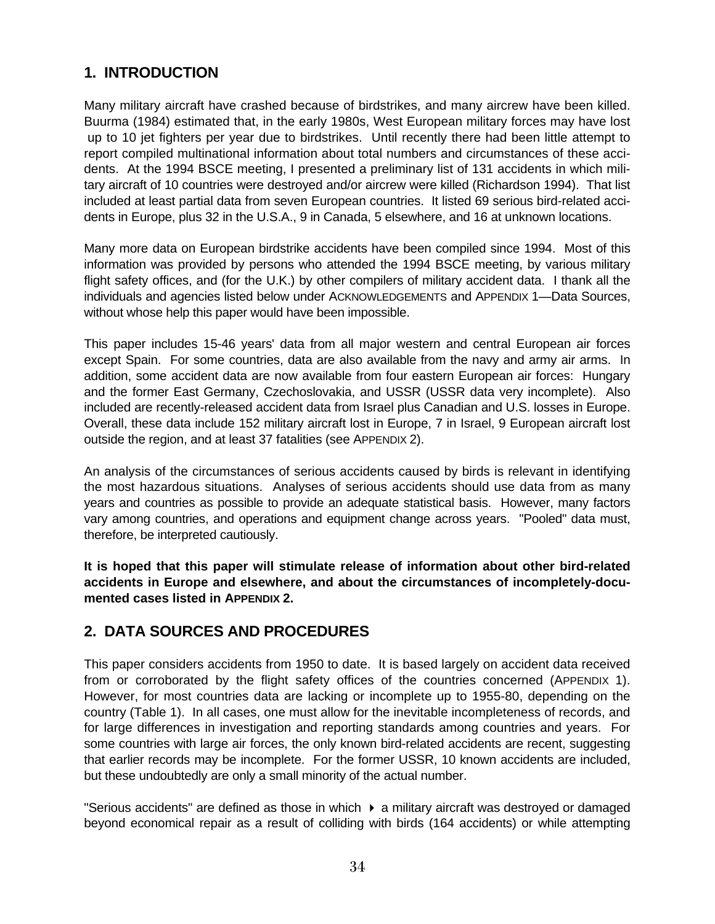## **1. INTRODUCTION**

Many military aircraft have crashed because of birdstrikes, and many aircrew have been killed. Buurma (1984) estimated that, in the early 1980s, West European military forces may have lost up to 10 jet fighters per year due to birdstrikes. Until recently there had been little attempt to report compiled multinational information about total numbers and circumstances of these accidents. At the 1994 BSCE meeting, I presented a preliminary list of 131 accidents in which military aircraft of 10 countries were destroyed and/or aircrew were killed (Richardson 1994). That list included at least partial data from seven European countries. It listed 69 serious bird-related accidents in Europe, plus 32 in the U.S.A., 9 in Canada, 5 elsewhere, and 16 at unknown locations.

Many more data on European birdstrike accidents have been compiled since 1994. Most of this information was provided by persons who attended the 1994 BSCE meeting, by various military flight safety offices, and (for the U.K.) by other compilers of military accident data. I thank all the individuals and agencies listed below under ACKNOWLEDGEMENTS and APPENDIX 1—Data Sources, without whose help this paper would have been impossible.

This paper includes 15-46 years' data from all major western and central European air forces except Spain. For some countries, data are also available from the navy and army air arms. In addition, some accident data are now available from four eastern European air forces: Hungary and the former East Germany, Czechoslovakia, and USSR (USSR data very incomplete). Also included are recently-released accident data from Israel plus Canadian and U.S. losses in Europe. Overall, these data include 152 military aircraft lost in Europe, 7 in Israel, 9 European aircraft lost outside the region, and at least 37 fatalities (see APPENDIX 2).

An analysis of the circumstances of serious accidents caused by birds is relevant in identifying the most hazardous situations. Analyses of serious accidents should use data from as many years and countries as possible to provide an adequate statistical basis. However, many factors vary among countries, and operations and equipment change across years. "Pooled" data must, therefore, be interpreted cautiously.

**It is hoped that this paper will stimulate release of information about other bird-related accidents in Europe and elsewhere, and about the circumstances of incompletely-documented cases listed in APPENDIX 2.** 

## **2. DATA SOURCES AND PROCEDURES**

This paper considers accidents from 1950 to date. It is based largely on accident data received from or corroborated by the flight safety offices of the countries concerned (APPENDIX 1). However, for most countries data are lacking or incomplete up to 1955-80, depending on the country (Table 1). In all cases, one must allow for the inevitable incompleteness of records, and for large differences in investigation and reporting standards among countries and years. For some countries with large air forces, the only known bird-related accidents are recent, suggesting that earlier records may be incomplete. For the former USSR, 10 known accidents are included, but these undoubtedly are only a small minority of the actual number.

"Serious accidents" are defined as those in which  $\blacktriangleright$  a military aircraft was destroyed or damaged beyond economical repair as a result of colliding with birds (164 accidents) or while attempting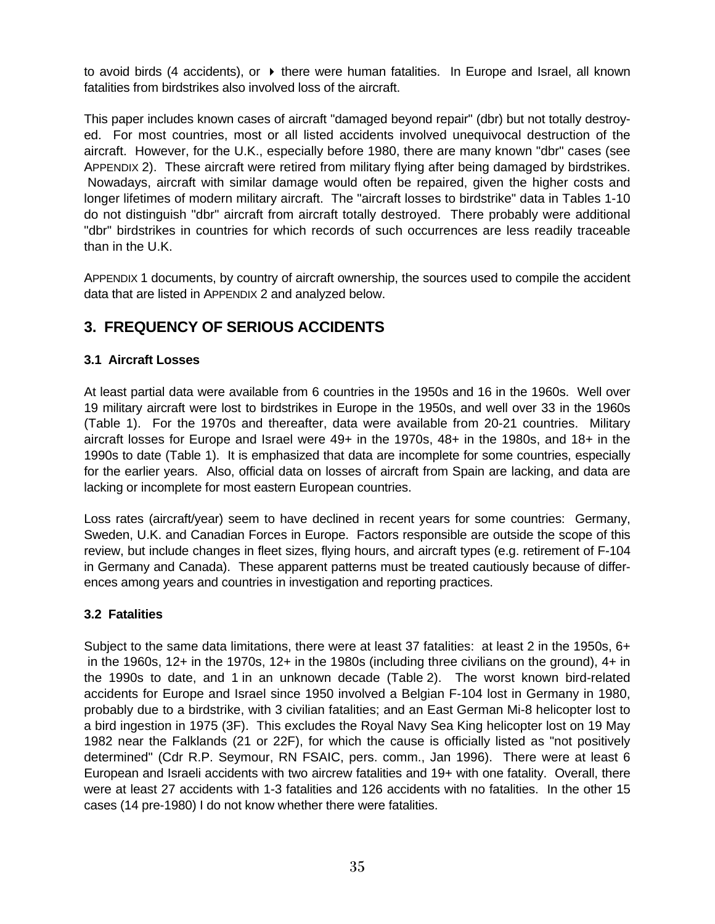to avoid birds (4 accidents), or  $\triangleright$  there were human fatalities. In Europe and Israel, all known fatalities from birdstrikes also involved loss of the aircraft.

This paper includes known cases of aircraft "damaged beyond repair" (dbr) but not totally destroyed. For most countries, most or all listed accidents involved unequivocal destruction of the aircraft. However, for the U.K., especially before 1980, there are many known "dbr" cases (see APPENDIX 2). These aircraft were retired from military flying after being damaged by birdstrikes. Nowadays, aircraft with similar damage would often be repaired, given the higher costs and longer lifetimes of modern military aircraft. The "aircraft losses to birdstrike" data in Tables 1-10 do not distinguish "dbr" aircraft from aircraft totally destroyed. There probably were additional "dbr" birdstrikes in countries for which records of such occurrences are less readily traceable than in the U.K.

APPENDIX 1 documents, by country of aircraft ownership, the sources used to compile the accident data that are listed in APPENDIX 2 and analyzed below.

## **3. FREQUENCY OF SERIOUS ACCIDENTS**

## **3.1 Aircraft Losses**

At least partial data were available from 6 countries in the 1950s and 16 in the 1960s. Well over 19 military aircraft were lost to birdstrikes in Europe in the 1950s, and well over 33 in the 1960s (Table 1). For the 1970s and thereafter, data were available from 20-21 countries. Military aircraft losses for Europe and Israel were 49+ in the 1970s, 48+ in the 1980s, and 18+ in the 1990s to date (Table 1). It is emphasized that data are incomplete for some countries, especially for the earlier years. Also, official data on losses of aircraft from Spain are lacking, and data are lacking or incomplete for most eastern European countries.

Loss rates (aircraft/year) seem to have declined in recent years for some countries: Germany, Sweden, U.K. and Canadian Forces in Europe. Factors responsible are outside the scope of this review, but include changes in fleet sizes, flying hours, and aircraft types (e.g. retirement of F-104 in Germany and Canada). These apparent patterns must be treated cautiously because of differences among years and countries in investigation and reporting practices.

## **3.2 Fatalities**

Subject to the same data limitations, there were at least 37 fatalities: at least 2 in the 1950s, 6+ in the 1960s, 12+ in the 1970s, 12+ in the 1980s (including three civilians on the ground), 4+ in the 1990s to date, and 1 in an unknown decade (Table 2). The worst known bird-related accidents for Europe and Israel since 1950 involved a Belgian F-104 lost in Germany in 1980, probably due to a birdstrike, with 3 civilian fatalities; and an East German Mi-8 helicopter lost to a bird ingestion in 1975 (3F). This excludes the Royal Navy Sea King helicopter lost on 19 May 1982 near the Falklands (21 or 22F), for which the cause is officially listed as "not positively determined" (Cdr R.P. Seymour, RN FSAIC, pers. comm., Jan 1996). There were at least 6 European and Israeli accidents with two aircrew fatalities and 19+ with one fatality. Overall, there were at least 27 accidents with 1-3 fatalities and 126 accidents with no fatalities. In the other 15 cases (14 pre-1980) I do not know whether there were fatalities.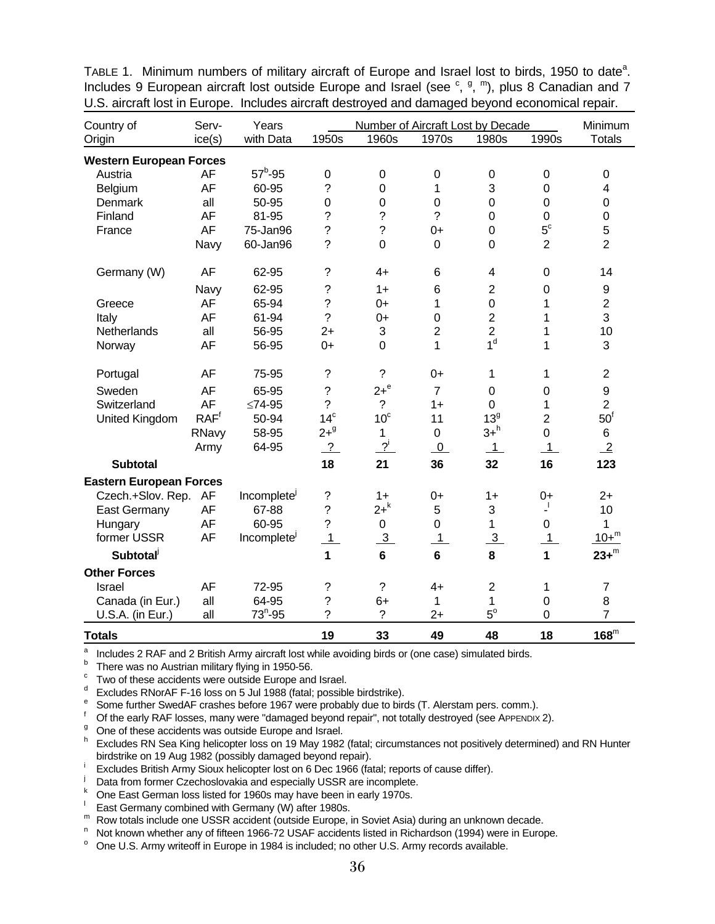| Country of                     | Serv-            | Years                   |                    | Number of Aircraft Lost by Decade |                 |                 |                  |                  |
|--------------------------------|------------------|-------------------------|--------------------|-----------------------------------|-----------------|-----------------|------------------|------------------|
| Origin                         | ice(s)           | with Data               | 1950s              | 1960s                             | 1970s           | 1980s           | 1990s            | <b>Totals</b>    |
| <b>Western European Forces</b> |                  |                         |                    |                                   |                 |                 |                  |                  |
| Austria                        | AF               | $57^b - 95$             | $\mathbf 0$        | $\mathbf 0$                       | $\mathbf 0$     | $\pmb{0}$       | $\boldsymbol{0}$ | $\boldsymbol{0}$ |
| Belgium                        | <b>AF</b>        | 60-95                   | $\ddot{ }$         | $\mathbf 0$                       | 1               | 3               | 0                | 4                |
| Denmark                        | all              | 50-95                   | $\mathbf 0$        | $\mathbf 0$                       | $\mathbf 0$     | $\overline{0}$  | 0                | 0                |
| Finland                        | AF               | 81-95                   | $\ddot{\text{ }2}$ | $\ddot{\phantom{0}}$              | $\tilde{?}$     | $\mathbf 0$     | $\mathbf 0$      | $\mathbf 0$      |
| France                         | AF               | 75-Jan96                | $\ddot{?}$         | $\ddot{\phantom{0}}$              | $0+$            | $\overline{0}$  | $5^{\circ}$      | $\mathbf 5$      |
|                                | Navy             | 60-Jan96                | ?                  | $\overline{0}$                    | $\mathbf 0$     | $\overline{0}$  | $\overline{2}$   | $\overline{2}$   |
| Germany (W)                    | <b>AF</b>        | 62-95                   | ?                  | $4+$                              | 6               | 4               | $\mathbf 0$      | 14               |
|                                | Navy             | 62-95                   | ?                  | $1+$                              | $6\phantom{1}6$ | $\overline{2}$  | $\boldsymbol{0}$ | 9                |
| Greece                         | AF               | 65-94                   | $\ddot{?}$         | $0+$                              | 1               | $\mathbf 0$     | 1                | $\overline{2}$   |
| Italy                          | AF               | 61-94                   | $\overline{?}$     | $0+$                              | $\mathbf 0$     | $\overline{2}$  | 1                | 3                |
| Netherlands                    | all              | 56-95                   | $2+$               | 3                                 | $\overline{2}$  | $\overline{2}$  | 1                | 10               |
| Norway                         | AF               | 56-95                   | $0+$               | $\overline{0}$                    | 1               | 1 <sup>d</sup>  | 1                | 3                |
| Portugal                       | AF               | 75-95                   | $\tilde{?}$        | $\tilde{?}$                       | $0+$            | 1               | 1                | $\overline{2}$   |
| Sweden                         | AF               | 65-95                   | $\tilde{?}$        | $2+e$                             | $\overline{7}$  | 0               | $\mathbf 0$      | 9                |
| Switzerland                    | <b>AF</b>        | $≤74-95$                | $\overline{?}$     | $\overline{?}$                    | $1+$            | 0               | 1                | $\overline{2}$   |
| United Kingdom                 | RAF <sup>f</sup> | 50-94                   | 14 <sup>c</sup>    | 10 <sup>c</sup>                   | 11              | 13 <sup>9</sup> | $\overline{2}$   | $50^{\rm f}$     |
|                                | RNavy            | 58-95                   | $2 + 9$            | $\mathbf{1}$                      | $\mathbf 0$     | $3+^h$          | $\mathbf 0$      | 6                |
|                                | Army             | 64-95                   | $\overline{?}$     | $2^{i}$                           | $\overline{0}$  | $\overline{1}$  | $\mathbf{1}$     | $\overline{2}$   |
| <b>Subtotal</b>                |                  |                         | 18                 | 21                                | 36              | 32              | 16               | 123              |
| <b>Eastern European Forces</b> |                  |                         |                    |                                   |                 |                 |                  |                  |
| Czech.+Slov. Rep. AF           |                  | Incomplete <sup>j</sup> | ?                  | $1+$                              | $0+$            | $1+$            | $0+$             | $2+$             |
| East Germany                   | AF               | 67-88                   | $\overline{?}$     | $2+$ <sup>k</sup>                 | 5               | 3               | 4                | 10               |
| Hungary                        | AF               | 60-95                   | $\overline{?}$     | 0                                 | $\overline{0}$  | $\mathbf{1}$    | 0                | 1                |
| former USSR                    | AF               | Incomplete <sup>j</sup> | 1                  | $\overline{3}$                    | $\overline{1}$  | $\overline{3}$  | $\mathbf{1}$     | $10 + m$         |
| <b>Subtotal</b>                |                  |                         | 1                  | $6\phantom{a}$                    | $6\phantom{a}$  | 8               | $\mathbf{1}$     | $23+^m$          |
| <b>Other Forces</b>            |                  |                         |                    |                                   |                 |                 |                  |                  |
| Israel                         | AF               | 72-95                   | ?                  | $\overline{?}$                    | $4+$            | $\overline{2}$  | 1                | $\overline{7}$   |
| Canada (in Eur.)               | all              | 64-95                   | $\ddot{?}$         | $6+$                              | 1               | 1               | $\pmb{0}$        | 8                |
| U.S.A. (in Eur.)               | all              | $73^n - 95$             | ?                  | $\overline{?}$                    | $2+$            | $5^{\circ}$     | 0                | $\overline{7}$   |
| <b>Totals</b>                  |                  |                         | 19                 | 33                                | 49              | 48              | 18               | $168^m$          |

TABLE 1. Minimum numbers of military aircraft of Europe and Israel lost to birds, 1950 to date<sup>a</sup>. Includes 9 European aircraft lost outside Europe and Israel (see  $\degree$ ,  $\degree$ , m), plus 8 Canadian and 7 U.S. aircraft lost in Europe. Includes aircraft destroyed and damaged beyond economical repair.

a <sup>a</sup> Includes 2 RAF and 2 British Army aircraft lost while avoiding birds or (one case) simulated birds.

There was no Austrian military flying in 1950-56.

c Two of these accidents were outside Europe and Israel.

d Excludes RNorAF F-16 loss on 5 Jul 1988 (fatal; possible birdstrike).

Some further SwedAF crashes before 1967 were probably due to birds (T. Alerstam pers. comm.).

Of the early RAF losses, many were "damaged beyond repair", not totally destroyed (see APPENDIX 2).

<sup>g</sup> One of these accidents was outside Europe and Israel.

h Excludes RN Sea King helicopter loss on 19 May 1982 (fatal; circumstances not positively determined) and RN Hunter birdstrike on 19 Aug 1982 (possibly damaged beyond repair).

Excludes British Army Sioux helicopter lost on 6 Dec 1966 (fatal; reports of cause differ).

**Data from former Czechoslovakia and especially USSR are incomplete.**<br>K One Feet Cerman loss listed for 1960s may bave been in early 1970s.

<sup>k</sup> One East German loss listed for 1960s may have been in early 1970s.

l East Germany combined with Germany (W) after 1980s.

 $<sup>m</sup>$  Row totals include one USSR accident (outside Europe, in Soviet Asia) during an unknown decade.</sup>

Not known whether any of fifteen 1966-72 USAF accidents listed in Richardson (1994) were in Europe.<br><sup>o</sup> One U.S. Army writeoff in Europe in 1984 is included: no other U.S. Army records available.

One U.S. Army writeoff in Europe in 1984 is included; no other U.S. Army records available.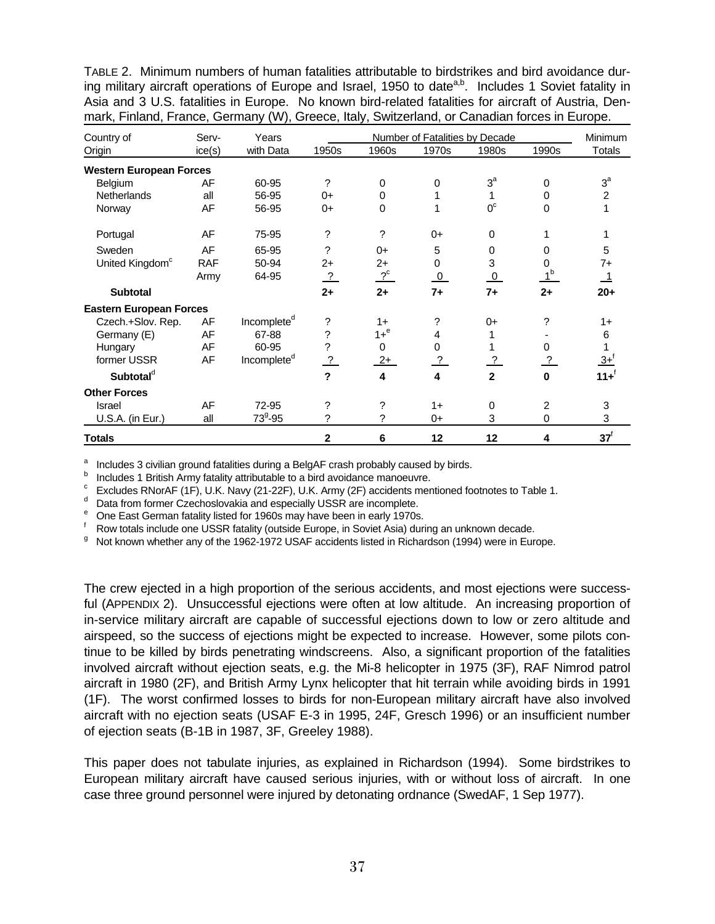TABLE 2. Minimum numbers of human fatalities attributable to birdstrikes and bird avoidance during military aircraft operations of Europe and Israel, 1950 to date<sup>a,b</sup>. Includes 1 Soviet fatality in Asia and 3 U.S. fatalities in Europe. No known bird-related fatalities for aircraft of Austria, Denmark, Finland, France, Germany (W), Greece, Italy, Switzerland, or Canadian forces in Europe.

| Country of                     | Serv-      | Years                   |                            |          | Number of Fatalities by Decade |                |                | Minimum                 |  |
|--------------------------------|------------|-------------------------|----------------------------|----------|--------------------------------|----------------|----------------|-------------------------|--|
| Origin                         | ice(s)     | with Data               | 1950s                      | 1960s    | 1970s                          | 1980s          | 1990s          | <b>Totals</b>           |  |
| <b>Western European Forces</b> |            |                         |                            |          |                                |                |                |                         |  |
| Belgium                        | AF         | 60-95                   | ?                          | 0        | 0                              | $3^a$          | 0              | $3^a$                   |  |
| <b>Netherlands</b>             | all        | 56-95                   | $0+$                       | 0        |                                |                | 0              | $\overline{2}$          |  |
| Norway                         | AF         | 56-95                   | $0+$                       | $\Omega$ | 1                              | 0 <sup>c</sup> | 0              |                         |  |
| Portugal                       | AF         | 75-95                   | ?                          | ?        | $0+$                           | 0              |                |                         |  |
| Sweden                         | AF         | 65-95                   | ?                          | $0+$     | 5                              | 0              | 0              | 5                       |  |
| United Kingdom <sup>c</sup>    | <b>RAF</b> | 50-94                   | $2+$                       | $2+$     | 0                              | 3              | 0              | 7+                      |  |
|                                | Army       | 64-95                   | <u>?</u>                   | $2^c$    | $\overline{0}$                 | $\overline{0}$ |                | $\overline{\mathbf{1}}$ |  |
| <b>Subtotal</b>                |            |                         | $2+$                       | $2+$     | $7+$                           | $7+$           | $2+$           | $20+$                   |  |
| <b>Eastern European Forces</b> |            |                         |                            |          |                                |                |                |                         |  |
| Czech.+Slov. Rep.              | AF         | Incomplete <sup>d</sup> | ?                          | $1+$     | ?                              | $0+$           | ?              | $1+$                    |  |
| Germany (E)                    | AF         | 67-88                   | ?                          | $1 + e$  | 4                              |                |                | 6                       |  |
| Hungary                        | AF         | 60-95                   | ?                          | $\Omega$ | $\Omega$                       |                | 0              |                         |  |
| former USSR                    | AF         | Incomplete <sup>d</sup> | $\ddot{\phantom{0}}$       | $2+$     | $\overline{?}$                 | $\frac{2}{ }$  |                | $3 +$ <sup>T</sup>      |  |
| Subtotal <sup>d</sup>          |            |                         | $\boldsymbol{\mathcal{P}}$ | 4        | 4                              | $\mathbf{2}$   | $\bf{0}$       | $11 +$ <sup>f</sup>     |  |
| <b>Other Forces</b>            |            |                         |                            |          |                                |                |                |                         |  |
| Israel                         | AF         | 72-95                   | ?                          | ?        | $1+$                           | 0              | $\overline{c}$ | 3                       |  |
| U.S.A. (in Eur.)               | all        | $73^9 - 95$             | ?                          | ?        | $0+$                           | 3              | $\Omega$       | 3                       |  |
| <b>Totals</b>                  |            |                         | $\mathbf{2}$               | 6        | 12                             | 12             | 4              | $37^{\mathrm{f}}$       |  |

a Includes 3 civilian ground fatalities during a BelgAF crash probably caused by birds. b

Includes 1 British Army fatality attributable to a bird avoidance manoeuvre.

Excludes RNorAF (1F), U.K. Navy (21-22F), U.K. Army (2F) accidents mentioned footnotes to Table 1.

 $d$  Data from former Czechoslovakia and especially USSR are incomplete.

<sup>e</sup> One East German fatality listed for 1960s may have been in early 1970s.

f Row totals include one USSR fatality (outside Europe, in Soviet Asia) during an unknown decade.

<sup>g</sup> Not known whether any of the 1962-1972 USAF accidents listed in Richardson (1994) were in Europe.

The crew ejected in a high proportion of the serious accidents, and most ejections were successful (APPENDIX 2). Unsuccessful ejections were often at low altitude. An increasing proportion of in-service military aircraft are capable of successful ejections down to low or zero altitude and airspeed, so the success of ejections might be expected to increase. However, some pilots continue to be killed by birds penetrating windscreens. Also, a significant proportion of the fatalities involved aircraft without ejection seats, e.g. the Mi-8 helicopter in 1975 (3F), RAF Nimrod patrol aircraft in 1980 (2F), and British Army Lynx helicopter that hit terrain while avoiding birds in 1991 (1F). The worst confirmed losses to birds for non-European military aircraft have also involved aircraft with no ejection seats (USAF E-3 in 1995, 24F, Gresch 1996) or an insufficient number of ejection seats (B-1B in 1987, 3F, Greeley 1988).

This paper does not tabulate injuries, as explained in Richardson (1994). Some birdstrikes to European military aircraft have caused serious injuries, with or without loss of aircraft. In one case three ground personnel were injured by detonating ordnance (SwedAF, 1 Sep 1977).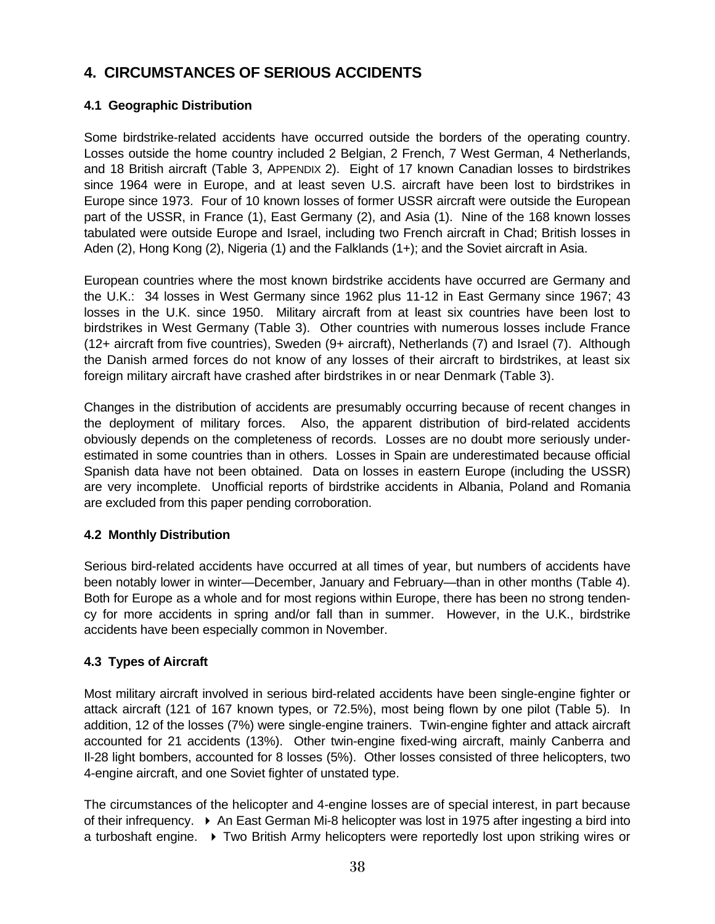## **4. CIRCUMSTANCES OF SERIOUS ACCIDENTS**

## **4.1 Geographic Distribution**

Some birdstrike-related accidents have occurred outside the borders of the operating country. Losses outside the home country included 2 Belgian, 2 French, 7 West German, 4 Netherlands, and 18 British aircraft (Table 3, APPENDIX 2). Eight of 17 known Canadian losses to birdstrikes since 1964 were in Europe, and at least seven U.S. aircraft have been lost to birdstrikes in Europe since 1973. Four of 10 known losses of former USSR aircraft were outside the European part of the USSR, in France (1), East Germany (2), and Asia (1). Nine of the 168 known losses tabulated were outside Europe and Israel, including two French aircraft in Chad; British losses in Aden (2), Hong Kong (2), Nigeria (1) and the Falklands (1+); and the Soviet aircraft in Asia.

European countries where the most known birdstrike accidents have occurred are Germany and the U.K.: 34 losses in West Germany since 1962 plus 11-12 in East Germany since 1967; 43 losses in the U.K. since 1950. Military aircraft from at least six countries have been lost to birdstrikes in West Germany (Table 3). Other countries with numerous losses include France (12+ aircraft from five countries), Sweden (9+ aircraft), Netherlands (7) and Israel (7). Although the Danish armed forces do not know of any losses of their aircraft to birdstrikes, at least six foreign military aircraft have crashed after birdstrikes in or near Denmark (Table 3).

Changes in the distribution of accidents are presumably occurring because of recent changes in the deployment of military forces. Also, the apparent distribution of bird-related accidents obviously depends on the completeness of records. Losses are no doubt more seriously underestimated in some countries than in others. Losses in Spain are underestimated because official Spanish data have not been obtained. Data on losses in eastern Europe (including the USSR) are very incomplete. Unofficial reports of birdstrike accidents in Albania, Poland and Romania are excluded from this paper pending corroboration.

## **4.2 Monthly Distribution**

Serious bird-related accidents have occurred at all times of year, but numbers of accidents have been notably lower in winter—December, January and February—than in other months (Table 4). Both for Europe as a whole and for most regions within Europe, there has been no strong tendency for more accidents in spring and/or fall than in summer. However, in the U.K., birdstrike accidents have been especially common in November.

## **4.3 Types of Aircraft**

Most military aircraft involved in serious bird-related accidents have been single-engine fighter or attack aircraft (121 of 167 known types, or 72.5%), most being flown by one pilot (Table 5). In addition, 12 of the losses (7%) were single-engine trainers. Twin-engine fighter and attack aircraft accounted for 21 accidents (13%). Other twin-engine fixed-wing aircraft, mainly Canberra and Il-28 light bombers, accounted for 8 losses (5%). Other losses consisted of three helicopters, two 4-engine aircraft, and one Soviet fighter of unstated type.

The circumstances of the helicopter and 4-engine losses are of special interest, in part because of their infrequency.  $\triangleright$  An East German Mi-8 helicopter was lost in 1975 after ingesting a bird into a turboshaft engine.  $\rightarrow$  Two British Army helicopters were reportedly lost upon striking wires or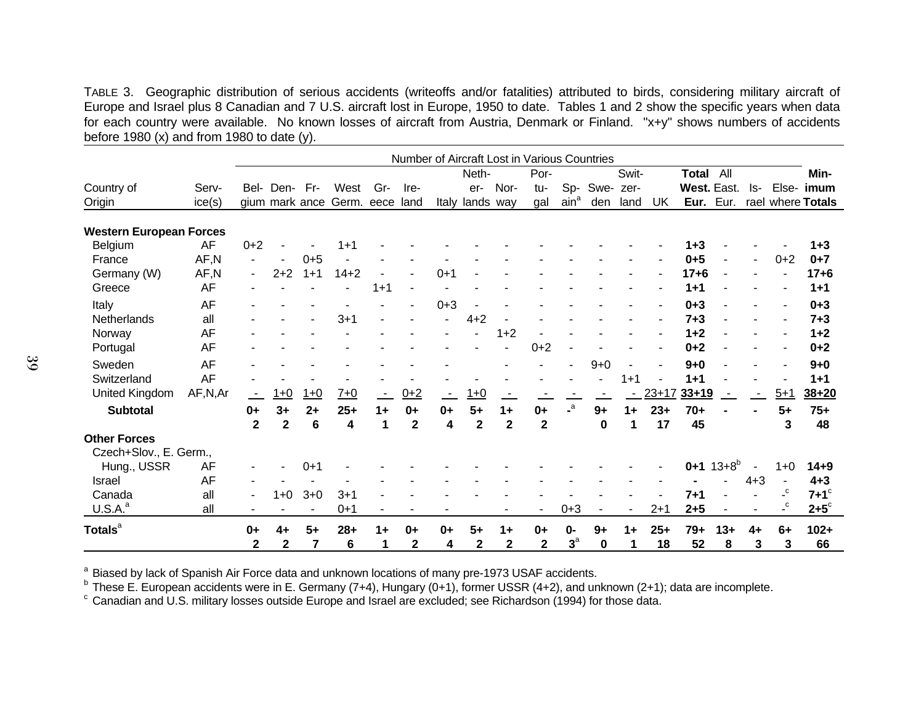TABLE 3. Geographic distribution of serious accidents (writeoffs and/or fatalities) attributed to birds, considering military aircraft of Europe and Israel plus 8 Canadian and 7 U.S. aircraft lost in Europe, 1950 to date. Tables 1 and 2 show the specific years when data for each country were available. No known losses of aircraft from Austria, Denmark or Finland. "x+y" shows numbers of accidents before 1980  $(x)$  and from 1980 to date  $(y)$ .

|                                |           | Number of Aircraft Lost in Various Countries |                |                |            |         |                |         |                 |                         |                         |                         |         |         |         |              |              |         |                         |                    |
|--------------------------------|-----------|----------------------------------------------|----------------|----------------|------------|---------|----------------|---------|-----------------|-------------------------|-------------------------|-------------------------|---------|---------|---------|--------------|--------------|---------|-------------------------|--------------------|
|                                |           |                                              |                |                |            |         |                |         | Neth-           |                         | Por-                    |                         |         | Swit-   |         | <b>Total</b> | All          |         |                         | Min-               |
| Country of                     | Serv-     |                                              | Bel- Den- Fr-  |                | West       | Gr-     | Ire-           |         | er-             | Nor-                    | tu-                     | Sp-                     | Swe-    | zer-    |         | West. East.  |              | ls-     | Else-                   | imum               |
| Origin                         | ice(s)    |                                              |                | gium mark ance | Germ. eece |         | land           |         | Italy lands way |                         | gal                     | ain <sup>a</sup>        | den     | land    | UK      | Eur.         | Eur.         |         |                         | rael where Totals  |
| <b>Western European Forces</b> |           |                                              |                |                |            |         |                |         |                 |                         |                         |                         |         |         |         |              |              |         |                         |                    |
| Belgium                        | AF        | $0+2$                                        |                |                | $1 + 1$    |         |                |         |                 |                         |                         |                         |         |         |         | $1 + 3$      |              |         |                         | $1 + 3$            |
| France                         | AF,N      | ۰                                            | $\overline{a}$ | $0 + 5$        |            |         |                |         |                 |                         |                         |                         |         |         |         | $0 + 5$      |              |         | $0 + 2$                 | $0 + 7$            |
| Germany (W)                    | AF,N      | ۰.                                           | $2 + 2$        | $1 + 1$        | $14 + 2$   |         |                | $0 + 1$ |                 |                         |                         |                         |         |         |         | $17 + 6$     |              |         |                         | $17 + 6$           |
| Greece                         | AF        |                                              |                |                |            | $1 + 1$ |                |         |                 |                         |                         |                         |         |         |         | $1 + 1$      |              |         |                         | $1 + 1$            |
| Italy                          | <b>AF</b> |                                              |                |                |            |         | $\blacksquare$ | $0 + 3$ |                 |                         |                         |                         |         |         |         | $0 + 3$      |              |         |                         | $0 + 3$            |
| Netherlands                    | all       |                                              |                |                | $3 + 1$    |         |                |         | $4 + 2$         |                         |                         |                         |         |         |         | $7 + 3$      |              |         |                         | $7 + 3$            |
| Norway                         | AF        |                                              |                |                |            |         |                |         |                 | $1 + 2$                 |                         |                         |         |         |         | $1 + 2$      |              |         |                         | $1 + 2$            |
| Portugal                       | <b>AF</b> |                                              |                |                |            |         |                |         |                 |                         | $0 + 2$                 |                         |         |         |         | $0 + 2$      |              |         |                         | $0 + 2$            |
| Sweden                         | <b>AF</b> |                                              |                |                |            |         |                |         |                 |                         |                         |                         | $9 + 0$ |         |         | $9 + 0$      |              |         |                         | $9 + 0$            |
| Switzerland                    | AF        |                                              |                |                |            |         |                |         |                 |                         |                         |                         |         | $1 + 1$ |         | $1 + 1$      |              |         |                         | $1 + 1$            |
| <b>United Kingdom</b>          | AF,N,Ar   |                                              | $1 + 0$        | $1+0$          | $7 + 0$    |         | $0+2$          |         | $1+0$           |                         |                         |                         |         |         | $23+17$ | $33 + 19$    |              |         | $5 + 1$                 | $38 + 20$          |
| <b>Subtotal</b>                |           | $0+$                                         | $3+$           | $2+$           | $25+$      | $1+$    | $0+$           | $0+$    | $5+$            | $1+$                    | $0+$                    | $\mathsf{L}^\mathsf{a}$ | $9+$    | $1+$    | $23+$   | $70+$        |              |         | $5+$                    | $75+$              |
|                                |           | $\overline{\mathbf{2}}$                      | $\mathbf 2$    | 6              | 4          | 1       | $\overline{2}$ | 4       | $\overline{2}$  | $\overline{\mathbf{2}}$ | $\overline{\mathbf{2}}$ |                         | 0       | 1       | 17      | 45           |              |         | 3                       | 48                 |
| <b>Other Forces</b>            |           |                                              |                |                |            |         |                |         |                 |                         |                         |                         |         |         |         |              |              |         |                         |                    |
| Czech+Slov., E. Germ.,         |           |                                              |                |                |            |         |                |         |                 |                         |                         |                         |         |         |         |              |              |         |                         |                    |
| Hung., USSR                    | AF        |                                              |                | $0 + 1$        |            |         |                |         |                 |                         |                         |                         |         |         |         | $0 + 1$      | $13 + 8^{b}$ |         | $1+0$                   | $14 + 9$           |
| <b>Israel</b>                  | <b>AF</b> |                                              |                |                |            |         |                |         |                 |                         |                         |                         |         |         |         |              |              | $4 + 3$ |                         | $4 + 3$            |
| Canada                         | all       | -                                            | $1+0$          | $3 + 0$        | $3 + 1$    |         |                |         |                 |                         |                         |                         |         |         |         | $7 + 1$      |              |         | c                       | $7+1$ <sup>c</sup> |
| U.S.A. <sup>a</sup>            | all       |                                              |                |                | $0+1$      |         |                |         |                 |                         |                         | $0 + 3$                 |         |         | $2 + 1$ | $2 + 5$      |              |         | $\mathsf{L}^\mathsf{C}$ | $2+5^\circ$        |
| Totals <sup>a</sup>            |           | $0+$                                         | 4+             | $5+$           | $28+$      | $1+$    | $0+$           | $0+$    | $5+$            | $1+$                    | $0+$                    | $0 -$                   | $9+$    | $1+$    | $25+$   | 79+          | $13+$        | $4+$    | $6+$                    | $102 +$            |
|                                |           | $\overline{2}$                               | $\overline{2}$ | 7              | 6          | 1       | $\mathbf{2}$   | 4       | $\mathbf{2}$    | $\mathbf 2$             | $\mathbf{2}$            | $3^a$                   | 0       | 1       | 18      | 52           | 8            | 3       | 3                       | 66                 |

<sup>a</sup> Biased by lack of Spanish Air Force data and unknown locations of many pre-1973 USAF accidents.

<sup>b</sup> These E. European accidents were in E. Germany (7+4), Hungary (0+1), former USSR (4+2), and unknown (2+1); data are incomplete.

° Canadian and U.S. military losses outside Europe and Israel are excluded; see Richardson (1994) for those data.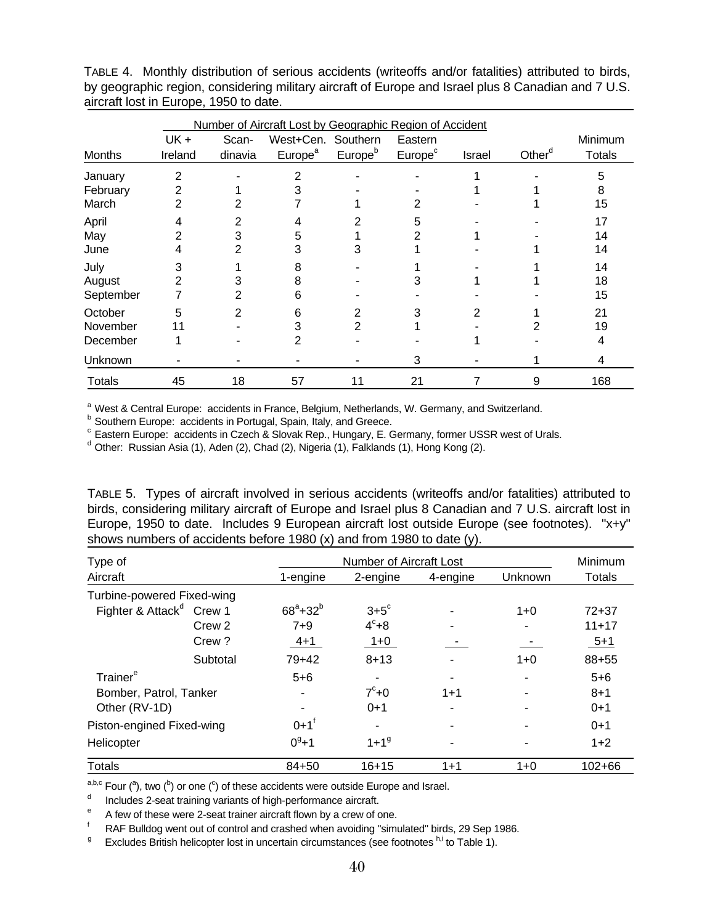|                                 | Number of Aircraft Lost by Geographic Region of Accident |                  |                                           |                     |                                |        |                    |                          |  |  |  |  |
|---------------------------------|----------------------------------------------------------|------------------|-------------------------------------------|---------------------|--------------------------------|--------|--------------------|--------------------------|--|--|--|--|
| <b>Months</b>                   | $UK +$<br>Ireland                                        | Scan-<br>dinavia | West+Cen. Southern<br>Europe <sup>a</sup> | Europe <sup>b</sup> | Eastern<br>Europe <sup>c</sup> | Israel | Other <sup>d</sup> | Minimum<br><b>Totals</b> |  |  |  |  |
| January<br>February<br>March    | $\overline{2}$<br>2<br>2                                 |                  | 2<br>3                                    |                     | 2                              |        |                    | 5<br>8<br>15             |  |  |  |  |
| April<br>May<br>June            | 4<br>2<br>4                                              | 2<br>3<br>2      | 4<br>5<br>3                               | 2<br>3              | 5                              |        |                    | 17<br>14<br>14           |  |  |  |  |
| July<br>August<br>September     | 3<br>2                                                   | 3<br>2           | 8<br>8<br>6                               |                     | 3                              |        |                    | 14<br>18<br>15           |  |  |  |  |
| October<br>November<br>December | 5<br>11                                                  | 2                | 6<br>3<br>2                               | 2<br>2              | 3                              | 2      |                    | 21<br>19<br>4            |  |  |  |  |
| Unknown                         |                                                          |                  |                                           |                     | 3                              |        |                    | 4                        |  |  |  |  |
| Totals                          | 45                                                       | 18               | 57                                        | 11                  | 21                             |        | 9                  | 168                      |  |  |  |  |

TABLE 4. Monthly distribution of serious accidents (writeoffs and/or fatalities) attributed to birds, by geographic region, considering military aircraft of Europe and Israel plus 8 Canadian and 7 U.S. aircraft lost in Europe, 1950 to date.

<sup>a</sup> West & Central Europe: accidents in France, Belgium, Netherlands, W. Germany, and Switzerland.<br>**b** Southern Europe: accidents in Pertugal, Spein, Italy, and Creese.

**b** Southern Europe: accidents in Portugal, Spain, Italy, and Greece.

<sup>c</sup> Eastern Europe: accidents in Czech & Slovak Rep., Hungary, E. Germany, former USSR west of Urals.

 $<sup>d</sup>$  Other: Russian Asia (1), Aden (2), Chad (2), Nigeria (1), Falklands (1), Hong Kong (2).</sup>

TABLE 5. Types of aircraft involved in serious accidents (writeoffs and/or fatalities) attributed to birds, considering military aircraft of Europe and Israel plus 8 Canadian and 7 U.S. aircraft lost in Europe, 1950 to date. Includes 9 European aircraft lost outside Europe (see footnotes). "x+y" shows numbers of accidents before 1980 (x) and from 1980 to date (y).

| Type of                              |          |                    | <b>Number of Aircraft Lost</b> |          |         |               |  |  |  |
|--------------------------------------|----------|--------------------|--------------------------------|----------|---------|---------------|--|--|--|
| Aircraft                             |          | 1-engine           | 2-engine                       | 4-engine | Unknown | <b>Totals</b> |  |  |  |
| Turbine-powered Fixed-wing           |          |                    |                                |          |         |               |  |  |  |
| Fighter & Attack <sup>d</sup> Crew 1 |          | $68^{a}+32^{b}$    | $3+5^\circ$                    |          | $1+0$   | $72 + 37$     |  |  |  |
|                                      | Crew 2   | $7 + 9$            | $4^\circ + 8$                  |          |         | $11+17$       |  |  |  |
|                                      | Crew?    | $4 + 1$            | $1 + 0$                        |          |         | $5 + 1$       |  |  |  |
|                                      | Subtotal | $79+42$            | $8 + 13$                       |          | $1 + 0$ | 88+55         |  |  |  |
| Trainer <sup>e</sup>                 |          | $5 + 6$            |                                |          |         | $5 + 6$       |  |  |  |
| Bomber, Patrol, Tanker               |          |                    | $7^\circ + 0$                  | $1 + 1$  |         | $8 + 1$       |  |  |  |
| Other (RV-1D)                        |          |                    | $0+1$                          |          |         | $0 + 1$       |  |  |  |
| Piston-engined Fixed-wing            |          | $0+1$ <sup>f</sup> |                                |          |         | $0+1$         |  |  |  |
| Helicopter                           |          | $0^9 + 1$          | $1 + 1^9$                      |          |         | $1+2$         |  |  |  |
| <b>Totals</b>                        |          | $84 + 50$          | $16 + 15$                      | $1 + 1$  | $1+0$   | $102 + 66$    |  |  |  |

<sup>a,b,c</sup> Four (<sup>a</sup>), two (<sup>b</sup>) or one (<sup>c</sup>) of these accidents were outside Europe and Israel.<br>declined the produce 3 sect training verients of high performance gireraft.

Includes 2-seat training variants of high-performance aircraft.

 $A$  few of these were 2-seat trainer aircraft flown by a crew of one.<br> $A = BAE$  which are not out of control and crashed when avoiding "simulation"

RAF Bulldog went out of control and crashed when avoiding "simulated" birds, 29 Sep 1986.

<sup>g</sup> Excludes British helicopter lost in uncertain circumstances (see footnotes <sup>h,i</sup> to Table 1).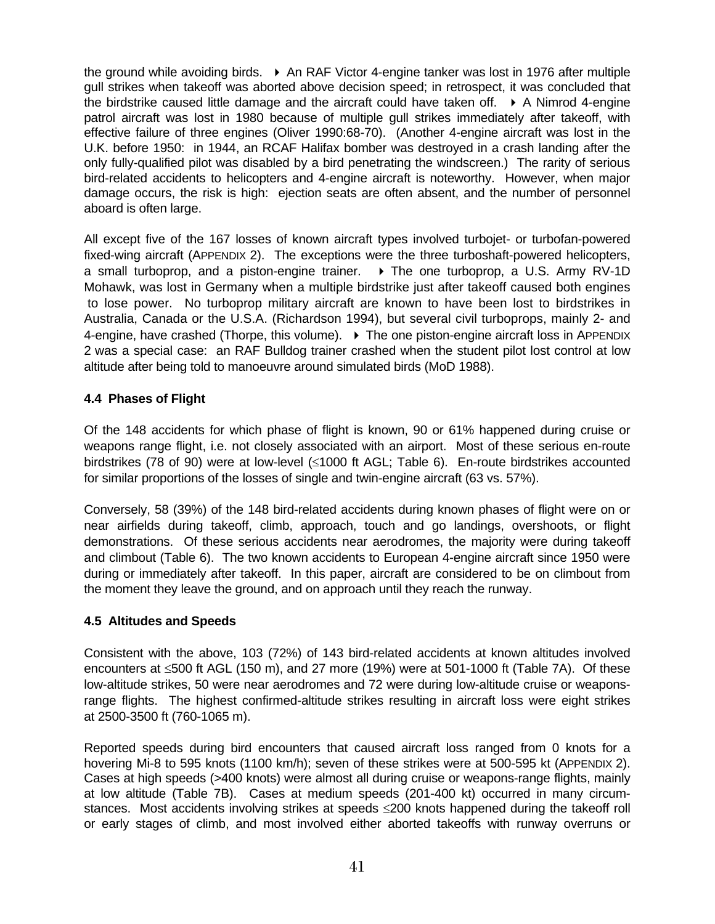the ground while avoiding birds.  $\triangleright$  An RAF Victor 4-engine tanker was lost in 1976 after multiple gull strikes when takeoff was aborted above decision speed; in retrospect, it was concluded that the birdstrike caused little damage and the aircraft could have taken off.  $\rightarrow$  A Nimrod 4-engine patrol aircraft was lost in 1980 because of multiple gull strikes immediately after takeoff, with effective failure of three engines (Oliver 1990:68-70). (Another 4-engine aircraft was lost in the U.K. before 1950: in 1944, an RCAF Halifax bomber was destroyed in a crash landing after the only fully-qualified pilot was disabled by a bird penetrating the windscreen.) The rarity of serious bird-related accidents to helicopters and 4-engine aircraft is noteworthy. However, when major damage occurs, the risk is high: ejection seats are often absent, and the number of personnel aboard is often large.

All except five of the 167 losses of known aircraft types involved turbojet- or turbofan-powered fixed-wing aircraft (APPENDIX 2). The exceptions were the three turboshaft-powered helicopters, a small turboprop, and a piston-engine trainer.  $\rightarrow$  The one turboprop, a U.S. Army RV-1D Mohawk, was lost in Germany when a multiple birdstrike just after takeoff caused both engines to lose power. No turboprop military aircraft are known to have been lost to birdstrikes in Australia, Canada or the U.S.A. (Richardson 1994), but several civil turboprops, mainly 2- and 4-engine, have crashed (Thorpe, this volume).  $\triangleright$  The one piston-engine aircraft loss in APPENDIX 2 was a special case: an RAF Bulldog trainer crashed when the student pilot lost control at low altitude after being told to manoeuvre around simulated birds (MoD 1988).

### **4.4 Phases of Flight**

Of the 148 accidents for which phase of flight is known, 90 or 61% happened during cruise or weapons range flight, i.e. not closely associated with an airport. Most of these serious en-route birdstrikes (78 of 90) were at low-level (≤1000 ft AGL; Table 6). En-route birdstrikes accounted for similar proportions of the losses of single and twin-engine aircraft (63 vs. 57%).

Conversely, 58 (39%) of the 148 bird-related accidents during known phases of flight were on or near airfields during takeoff, climb, approach, touch and go landings, overshoots, or flight demonstrations. Of these serious accidents near aerodromes, the majority were during takeoff and climbout (Table 6). The two known accidents to European 4-engine aircraft since 1950 were during or immediately after takeoff. In this paper, aircraft are considered to be on climbout from the moment they leave the ground, and on approach until they reach the runway.

#### **4.5 Altitudes and Speeds**

Consistent with the above, 103 (72%) of 143 bird-related accidents at known altitudes involved encounters at ≤500 ft AGL (150 m), and 27 more (19%) were at 501-1000 ft (Table 7A). Of these low-altitude strikes, 50 were near aerodromes and 72 were during low-altitude cruise or weaponsrange flights. The highest confirmed-altitude strikes resulting in aircraft loss were eight strikes at 2500-3500 ft (760-1065 m).

Reported speeds during bird encounters that caused aircraft loss ranged from 0 knots for a hovering Mi-8 to 595 knots (1100 km/h); seven of these strikes were at 500-595 kt (APPENDIX 2). Cases at high speeds (>400 knots) were almost all during cruise or weapons-range flights, mainly at low altitude (Table 7B). Cases at medium speeds (201-400 kt) occurred in many circumstances. Most accidents involving strikes at speeds ≤200 knots happened during the takeoff roll or early stages of climb, and most involved either aborted takeoffs with runway overruns or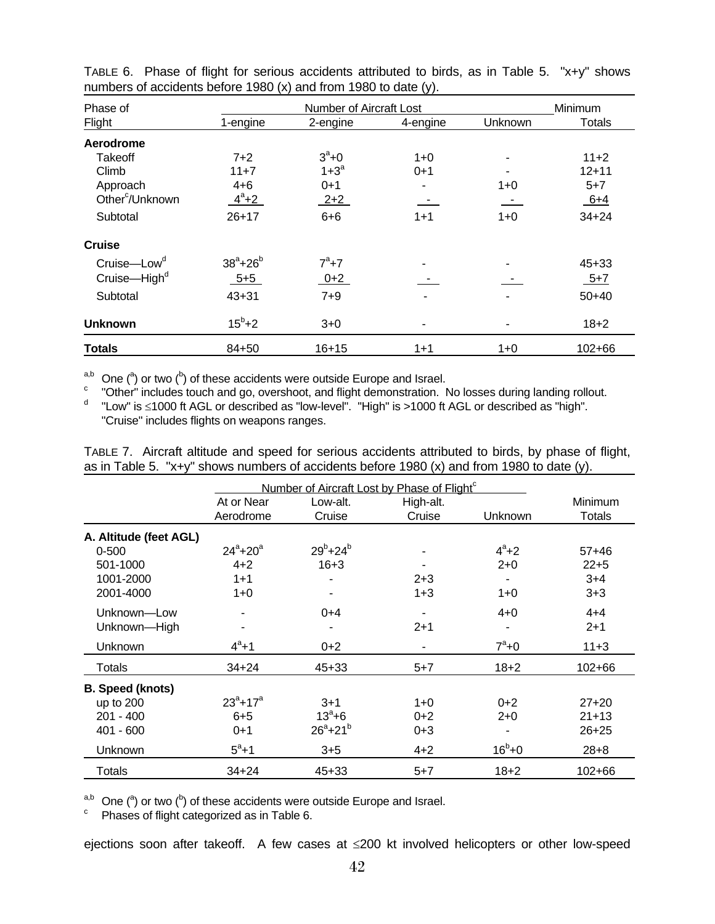| Phase of                    |                   | Number of Aircraft Lost |          |         | Minimum       |  |
|-----------------------------|-------------------|-------------------------|----------|---------|---------------|--|
| Flight                      | 1-engine          | 2-engine                | 4-engine | Unknown | <b>Totals</b> |  |
| Aerodrome                   |                   |                         |          |         |               |  |
| Takeoff                     | $7+2$             | $3^a + 0$               | $1+0$    | ۰       | $11+2$        |  |
| Climb                       | $11+7$            | $1+3^a$                 | $0 + 1$  |         | $12 + 11$     |  |
| Approach                    | $4 + 6$           | $0 + 1$                 | ۰        | 1+0     | $5 + 7$       |  |
| Other <sup>c</sup> /Unknown | $4^a + 2$         | $2+2$                   | $\equiv$ | $\pm$   | $6+4$         |  |
| Subtotal                    | $26 + 17$         | $6 + 6$                 | $1 + 1$  | $1+0$   | $34 + 24$     |  |
| <b>Cruise</b>               |                   |                         |          |         |               |  |
| Cruise-Low <sup>d</sup>     | $38^{a} + 26^{b}$ | $7^a + 7$               |          | ۰       | $45 + 33$     |  |
| Cruise-High <sup>d</sup>    | $5 + 5$           | $0+2$                   |          |         | $5 + 7$       |  |
| Subtotal                    | $43 + 31$         | $7 + 9$                 |          | ٠       | $50+40$       |  |
| <b>Unknown</b>              | $15^b + 2$        | $3 + 0$                 |          | ٠       | $18 + 2$      |  |
| <b>Totals</b>               | 84+50             | $16 + 15$               | $1 + 1$  | $1 + 0$ | $102 + 66$    |  |

TABLE 6. Phase of flight for serious accidents attributed to birds, as in Table 5. "x+y" shows numbers of accidents before 1980 (x) and from 1980 to date (y).

<sup>a,b</sup> One (<sup>a</sup>) or two (<sup>b</sup>) of these accidents were outside Europe and Israel.<br><sup>c</sup> "Other" includes taugh and ge, oversheet, and flight demonstration.

<sup>c</sup> "Other" includes touch and go, overshoot, and flight demonstration. No losses during landing rollout.

d "Low" is ≤1000 ft AGL or described as "low-level". "High" is >1000 ft AGL or described as "high". "Cruise" includes flights on weapons ranges.

|  |  |  | TABLE 7. Aircraft altitude and speed for serious accidents attributed to birds, by phase of flight, |  |  |
|--|--|--|-----------------------------------------------------------------------------------------------------|--|--|
|  |  |  | as in Table 5. "x+y" shows numbers of accidents before 1980 (x) and from 1980 to date (y).          |  |  |

|                         |                             | Number of Aircraft Lost by Phase of Flight <sup>c</sup> |                     |              |                   |
|-------------------------|-----------------------------|---------------------------------------------------------|---------------------|--------------|-------------------|
|                         | At or Near<br>Aerodrome     | Low-alt.<br>Cruise                                      | High-alt.<br>Cruise | Unknown      | Minimum<br>Totals |
| A. Altitude (feet AGL)  |                             |                                                         |                     |              |                   |
| $0 - 500$               | $24^{\circ}$ +20 $^{\circ}$ | $29^{b} + 24^{b}$                                       |                     | $4^a + 2$    | $57+46$           |
| 501-1000                | $4 + 2$                     | $16 + 3$                                                |                     | $2 + 0$      | $22 + 5$          |
| 1001-2000               | $1 + 1$                     |                                                         | $2 + 3$             |              | $3+4$             |
| 2001-4000               | $1+0$                       |                                                         | $1 + 3$             | $1+0$        | $3 + 3$           |
| Unknown-Low             |                             | $0+4$                                                   |                     | $4 + 0$      | $4 + 4$           |
| Unknown-High            |                             |                                                         | $2 + 1$             |              | $2+1$             |
| <b>Unknown</b>          | $4^a + 1$                   | $0 + 2$                                                 |                     | $7^a+0$      | $11+3$            |
| Totals                  | $34 + 24$                   | $45 + 33$                                               | $5 + 7$             | $18 + 2$     | $102 + 66$        |
| <b>B.</b> Speed (knots) |                             |                                                         |                     |              |                   |
| up to 200               | $23^a + 17^a$               | $3 + 1$                                                 | $1 + 0$             | $0 + 2$      | $27 + 20$         |
| $201 - 400$             | $6 + 5$                     | $13^{\circ} + 6$                                        | $0 + 2$             | $2+0$        | $21 + 13$         |
| $401 - 600$             | $0+1$                       | $26^{a}+21^{b}$                                         | $0 + 3$             |              | $26 + 25$         |
| Unknown                 | $5^{\circ}+1$               | $3 + 5$                                                 | $4 + 2$             | $16^{b} + 0$ | $28 + 8$          |
| Totals                  | $34 + 24$                   | $45 + 33$                                               | $5 + 7$             | $18 + 2$     | 102+66            |

<sup>a,b</sup> One (<sup>a</sup>) or two (<sup>b</sup>) of these accidents were outside Europe and Israel.

 $\degree$  Phases of flight categorized as in Table 6.

ejections soon after takeoff. A few cases at ≤200 kt involved helicopters or other low-speed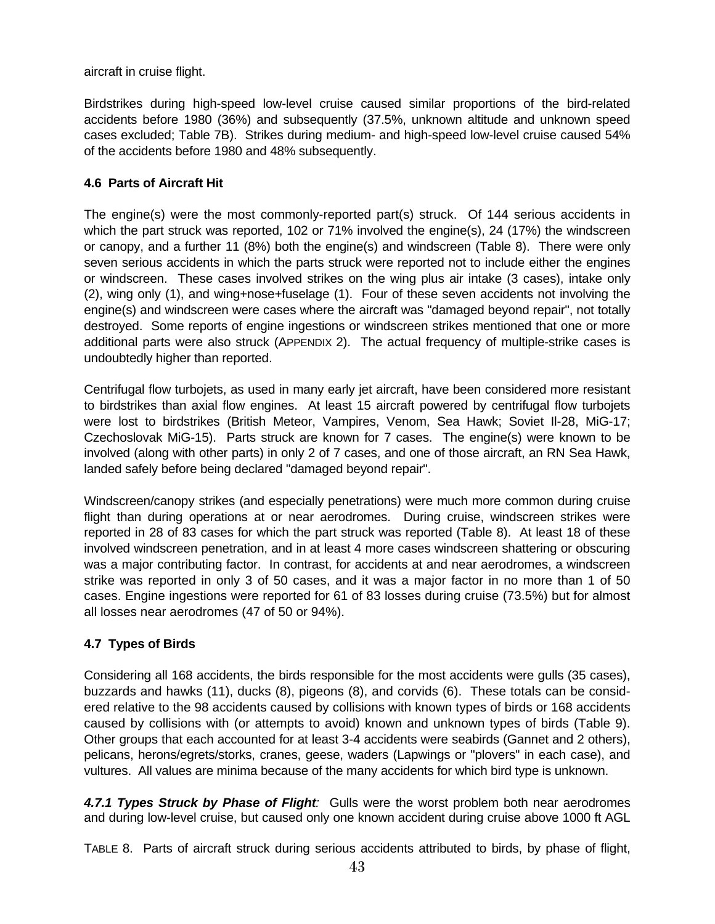aircraft in cruise flight.

Birdstrikes during high-speed low-level cruise caused similar proportions of the bird-related accidents before 1980 (36%) and subsequently (37.5%, unknown altitude and unknown speed cases excluded; Table 7B). Strikes during medium- and high-speed low-level cruise caused 54% of the accidents before 1980 and 48% subsequently.

### **4.6 Parts of Aircraft Hit**

The engine(s) were the most commonly-reported part(s) struck. Of 144 serious accidents in which the part struck was reported, 102 or 71% involved the engine(s), 24 (17%) the windscreen or canopy, and a further 11 (8%) both the engine(s) and windscreen (Table 8). There were only seven serious accidents in which the parts struck were reported not to include either the engines or windscreen. These cases involved strikes on the wing plus air intake (3 cases), intake only (2), wing only (1), and wing+nose+fuselage (1). Four of these seven accidents not involving the engine(s) and windscreen were cases where the aircraft was "damaged beyond repair", not totally destroyed. Some reports of engine ingestions or windscreen strikes mentioned that one or more additional parts were also struck (APPENDIX 2). The actual frequency of multiple-strike cases is undoubtedly higher than reported.

Centrifugal flow turbojets, as used in many early jet aircraft, have been considered more resistant to birdstrikes than axial flow engines. At least 15 aircraft powered by centrifugal flow turbojets were lost to birdstrikes (British Meteor, Vampires, Venom, Sea Hawk; Soviet Il-28, MiG-17; Czechoslovak MiG-15). Parts struck are known for 7 cases. The engine(s) were known to be involved (along with other parts) in only 2 of 7 cases, and one of those aircraft, an RN Sea Hawk, landed safely before being declared "damaged beyond repair".

Windscreen/canopy strikes (and especially penetrations) were much more common during cruise flight than during operations at or near aerodromes. During cruise, windscreen strikes were reported in 28 of 83 cases for which the part struck was reported (Table 8). At least 18 of these involved windscreen penetration, and in at least 4 more cases windscreen shattering or obscuring was a major contributing factor. In contrast, for accidents at and near aerodromes, a windscreen strike was reported in only 3 of 50 cases, and it was a major factor in no more than 1 of 50 cases. Engine ingestions were reported for 61 of 83 losses during cruise (73.5%) but for almost all losses near aerodromes (47 of 50 or 94%).

## **4.7 Types of Birds**

Considering all 168 accidents, the birds responsible for the most accidents were gulls (35 cases), buzzards and hawks (11), ducks (8), pigeons (8), and corvids (6). These totals can be considered relative to the 98 accidents caused by collisions with known types of birds or 168 accidents caused by collisions with (or attempts to avoid) known and unknown types of birds (Table 9). Other groups that each accounted for at least 3-4 accidents were seabirds (Gannet and 2 others), pelicans, herons/egrets/storks, cranes, geese, waders (Lapwings or "plovers" in each case), and vultures. All values are minima because of the many accidents for which bird type is unknown.

*4.7.1 Types Struck by Phase of Flight:* Gulls were the worst problem both near aerodromes and during low-level cruise, but caused only one known accident during cruise above 1000 ft AGL

TABLE 8. Parts of aircraft struck during serious accidents attributed to birds, by phase of flight,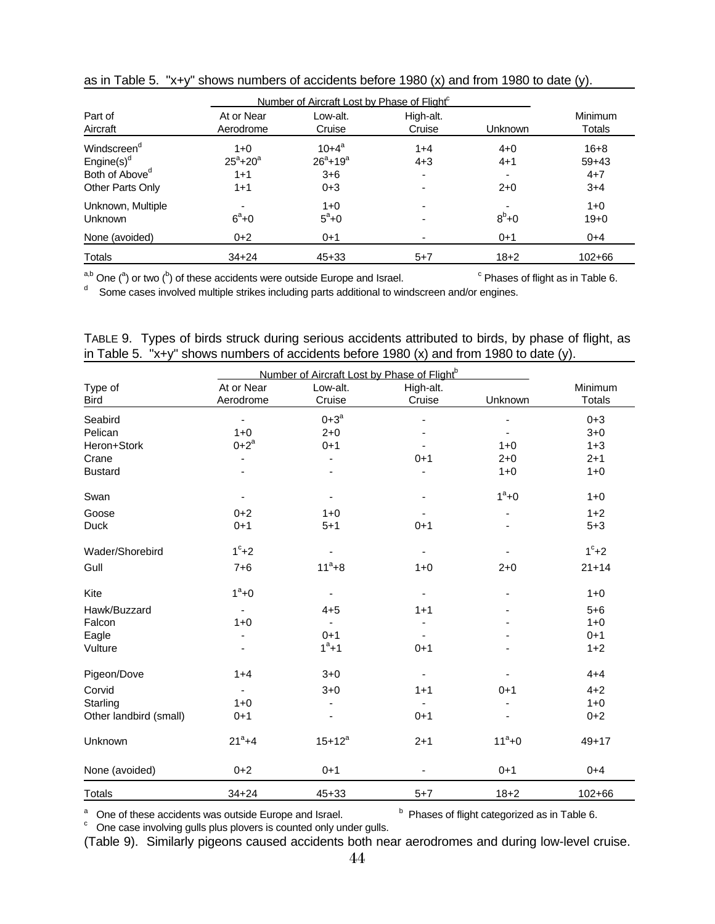|                            | Number of Aircraft Lost by Phase of Flight <sup>c</sup> |                 |           |             |            |
|----------------------------|---------------------------------------------------------|-----------------|-----------|-------------|------------|
| Part of                    | At or Near                                              | Low-alt.        | High-alt. |             | Minimum    |
| Aircraft                   | Aerodrome                                               | Cruise          | Cruise    | Unknown     | Totals     |
| Windscreen <sup>a</sup>    | $1+0$                                                   | $10 + 4^a$      | $1 + 4$   | $4 + 0$     | $16 + 8$   |
| Engine $(s)$ <sup>d</sup>  | $25^{\circ}+20^{\circ}$                                 | $26^{a}+19^{a}$ | $4 + 3$   | $4 + 1$     | $59+43$    |
| Both of Above <sup>d</sup> | $1 + 1$                                                 | $3 + 6$         | ٠         |             | $4 + 7$    |
| Other Parts Only           | $1+1$                                                   | $0 + 3$         |           | $2+0$       | $3+4$      |
| Unknown, Multiple          |                                                         | $1 + 0$         |           |             | $1 + 0$    |
| Unknown                    | $6^a + 0$                                               | $5^{\circ}+0$   |           | $8^{b} + 0$ | $19 + 0$   |
| None (avoided)             | $0+2$                                                   | $0+1$           |           | $0 + 1$     | $0+4$      |
| Totals                     | $34 + 24$                                               | $45+33$         | $5 + 7$   | $18 + 2$    | $102 + 66$ |

as in Table 5. "x+y" shows numbers of accidents before 1980 (x) and from 1980 to date (y).

<sup>a,b</sup> One (<sup>a</sup>) or two (<sup>b</sup>) of these accidents were outside Europe and Israel. <sup>c</sup> Phases of flight as in Table 6.<br>d Some cases involved multiple strikes including parts additional to windscreen and/or engines.

|                                                                                         |  |  |  |  | TABLE 9. Types of birds struck during serious accidents attributed to birds, by phase of flight, as |
|-----------------------------------------------------------------------------------------|--|--|--|--|-----------------------------------------------------------------------------------------------------|
| in Table 5. "x+y" shows numbers of accidents before 1980 (x) and from 1980 to date (y). |  |  |  |  |                                                                                                     |

|                        | Number of Aircraft Lost by Phase of Flight <sup>b</sup> |             |           |            |               |
|------------------------|---------------------------------------------------------|-------------|-----------|------------|---------------|
| Type of                | At or Near                                              | Low-alt.    | High-alt. |            | Minimum       |
| <b>Bird</b>            | Aerodrome                                               | Cruise      | Cruise    | Unknown    | <b>Totals</b> |
| Seabird                |                                                         | $0 + 3^a$   |           |            | $0 + 3$       |
| Pelican                | $1 + 0$                                                 | $2 + 0$     |           |            | $3 + 0$       |
| Heron+Stork            | $0 + 2^a$                                               | $0 + 1$     |           | $1 + 0$    | $1 + 3$       |
| Crane                  |                                                         |             | $0 + 1$   | $2 + 0$    | $2 + 1$       |
| <b>Bustard</b>         |                                                         |             |           | $1 + 0$    | $1 + 0$       |
| Swan                   |                                                         |             |           | $1^a + 0$  | $1 + 0$       |
| Goose                  | $0 + 2$                                                 | $1 + 0$     |           |            | $1+2$         |
| <b>Duck</b>            | $0 + 1$                                                 | $5 + 1$     | $0 + 1$   |            | $5 + 3$       |
| Wader/Shorebird        | $1^\circ + 2$                                           |             |           |            | $1^\circ + 2$ |
| Gull                   | $7 + 6$                                                 | $11^a + 8$  | $1 + 0$   | $2 + 0$    | $21 + 14$     |
| Kite                   | $1^a + 0$                                               |             |           |            | $1 + 0$       |
| Hawk/Buzzard           |                                                         | $4 + 5$     | $1 + 1$   |            | $5 + 6$       |
| Falcon                 | $1 + 0$                                                 |             |           |            | $1 + 0$       |
| Eagle                  |                                                         | $0 + 1$     |           |            | $0 + 1$       |
| Vulture                |                                                         | $1^a + 1$   | $0 + 1$   |            | $1 + 2$       |
| Pigeon/Dove            | $1 + 4$                                                 | $3 + 0$     | ÷,        |            | $4 + 4$       |
| Corvid                 |                                                         | $3 + 0$     | $1 + 1$   | $0 + 1$    | $4 + 2$       |
| Starling               | $1 + 0$                                                 |             |           |            | $1 + 0$       |
| Other landbird (small) | $0 + 1$                                                 |             | $0 + 1$   |            | $0 + 2$       |
| Unknown                | $21^a + 4$                                              | $15+12^{a}$ | $2 + 1$   | $11^a + 0$ | $49 + 17$     |
| None (avoided)         | $0 + 2$                                                 | $0 + 1$     |           | $0 + 1$    | $0 + 4$       |
| <b>Totals</b>          | $34 + 24$                                               | $45 + 33$   | $5 + 7$   | $18 + 2$   | 102+66        |

<sup>a</sup> One of these accidents was outside Europe and Israel. <sup>b</sup> Phases of flight categorized as in Table 6.<br><sup>c</sup> One case involving gulls plus plovers is counted only under gulls.

(Table 9). Similarly pigeons caused accidents both near aerodromes and during low-level cruise.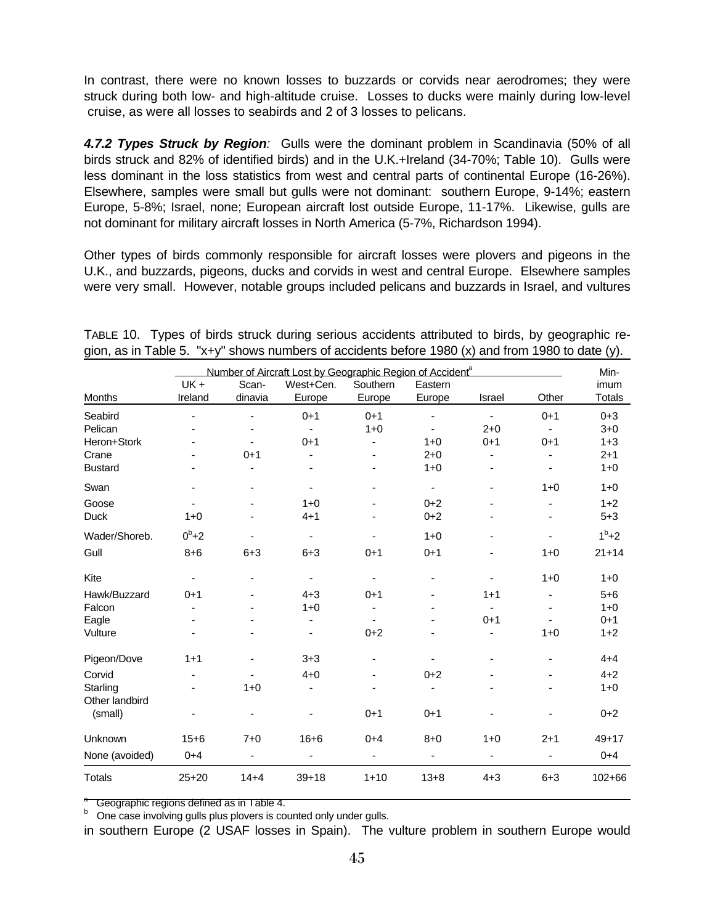In contrast, there were no known losses to buzzards or corvids near aerodromes; they were struck during both low- and high-altitude cruise. Losses to ducks were mainly during low-level cruise, as were all losses to seabirds and 2 of 3 losses to pelicans.

*4.7.2 Types Struck by Region:* Gulls were the dominant problem in Scandinavia (50% of all birds struck and 82% of identified birds) and in the U.K.+Ireland (34-70%; Table 10). Gulls were less dominant in the loss statistics from west and central parts of continental Europe (16-26%). Elsewhere, samples were small but gulls were not dominant: southern Europe, 9-14%; eastern Europe, 5-8%; Israel, none; European aircraft lost outside Europe, 11-17%. Likewise, gulls are not dominant for military aircraft losses in North America (5-7%, Richardson 1994).

Other types of birds commonly responsible for aircraft losses were plovers and pigeons in the U.K., and buzzards, pigeons, ducks and corvids in west and central Europe. Elsewhere samples were very small. However, notable groups included pelicans and buzzards in Israel, and vultures

|                           |                          | Number of Aircraft Lost by Geographic Region of Accident <sup>a</sup> |                          |          |                          |                          |                          |               |  |  |  |
|---------------------------|--------------------------|-----------------------------------------------------------------------|--------------------------|----------|--------------------------|--------------------------|--------------------------|---------------|--|--|--|
|                           | UK+                      | Scan-                                                                 | West+Cen.                | Southern | Eastern                  |                          |                          | imum          |  |  |  |
| Months                    | Ireland                  | dinavia                                                               | Europe                   | Europe   | Europe                   | Israel                   | Other                    | <b>Totals</b> |  |  |  |
| Seabird                   |                          |                                                                       | $0 + 1$                  | $0 + 1$  |                          |                          | $0 + 1$                  | $0 + 3$       |  |  |  |
| Pelican                   |                          |                                                                       |                          | $1 + 0$  |                          | $2 + 0$                  | $\blacksquare$           | $3 + 0$       |  |  |  |
| Heron+Stork               |                          |                                                                       | $0 + 1$                  | ٠        | $1 + 0$                  | $0 + 1$                  | $0 + 1$                  | $1 + 3$       |  |  |  |
| Crane                     |                          | $0 + 1$                                                               |                          |          | $2 + 0$                  | $\overline{\phantom{0}}$ | $\overline{\phantom{0}}$ | $2 + 1$       |  |  |  |
| <b>Bustard</b>            |                          |                                                                       |                          |          | $1 + 0$                  | ä,                       |                          | $1 + 0$       |  |  |  |
| Swan                      |                          |                                                                       |                          |          | -                        | ÷,                       | $1 + 0$                  | $1 + 0$       |  |  |  |
| Goose                     | $\blacksquare$           | ٠                                                                     | $1+0$                    | ٠        | $0 + 2$                  | ۰                        | $\overline{\phantom{0}}$ | $1+2$         |  |  |  |
| Duck                      | $1 + 0$                  |                                                                       | $4 + 1$                  |          | $0 + 2$                  |                          |                          | $5 + 3$       |  |  |  |
| Wader/Shoreb.             | $0^b + 2$                |                                                                       | -                        |          | $1 + 0$                  |                          | ä,                       | $1^b+2$       |  |  |  |
| Gull                      | $8 + 6$                  | $6 + 3$                                                               | $6 + 3$                  | $0 + 1$  | $0 + 1$                  |                          | $1 + 0$                  | $21 + 14$     |  |  |  |
| Kite                      | $\overline{\phantom{a}}$ |                                                                       | $\overline{\phantom{a}}$ |          |                          |                          | $1 + 0$                  | $1 + 0$       |  |  |  |
| Hawk/Buzzard              | $0 + 1$                  |                                                                       | $4 + 3$                  | $0 + 1$  | $\overline{\phantom{a}}$ | $1 + 1$                  | $\overline{\phantom{0}}$ | $5 + 6$       |  |  |  |
| Falcon                    |                          |                                                                       | $1 + 0$                  |          |                          | ä,                       |                          | $1 + 0$       |  |  |  |
| Eagle                     |                          |                                                                       |                          |          |                          | $0 + 1$                  |                          | $0 + 1$       |  |  |  |
| Vulture                   |                          |                                                                       |                          | $0 + 2$  |                          | ۰                        | $1 + 0$                  | $1+2$         |  |  |  |
| Pigeon/Dove               | $1 + 1$                  | ä,                                                                    | $3 + 3$                  |          |                          |                          | ä,                       | $4 + 4$       |  |  |  |
| Corvid                    | ٠                        | $\overline{\phantom{a}}$                                              | $4 + 0$                  | ٠        | $0 + 2$                  | -                        | $\overline{\phantom{0}}$ | $4 + 2$       |  |  |  |
| Starling                  |                          | $1 + 0$                                                               | -                        |          |                          |                          |                          | $1 + 0$       |  |  |  |
| Other landbird<br>(small) |                          |                                                                       |                          | $0 + 1$  | $0 + 1$                  |                          |                          | $0 + 2$       |  |  |  |
| Unknown                   | $15 + 6$                 | $7 + 0$                                                               | $16 + 6$                 | $0 + 4$  | $8 + 0$                  | $1 + 0$                  | $2 + 1$                  | $49 + 17$     |  |  |  |
| None (avoided)            | $0 + 4$                  | ÷,                                                                    | ÷,                       | ä,       | $\blacksquare$           | $\blacksquare$           | $\frac{1}{2}$            | $0 + 4$       |  |  |  |
| <b>Totals</b>             | $25+20$                  | $14 + 4$                                                              | $39 + 18$                | $1 + 10$ | $13 + 8$                 | $4 + 3$                  | $6 + 3$                  | 102+66        |  |  |  |

TABLE 10. Types of birds struck during serious accidents attributed to birds, by geographic region, as in Table 5. "x+y" shows numbers of accidents before 1980 (x) and from 1980 to date (y).

a Geographic regions defined as in Table 4.

<sup>b</sup> One case involving gulls plus plovers is counted only under gulls.

in southern Europe (2 USAF losses in Spain). The vulture problem in southern Europe would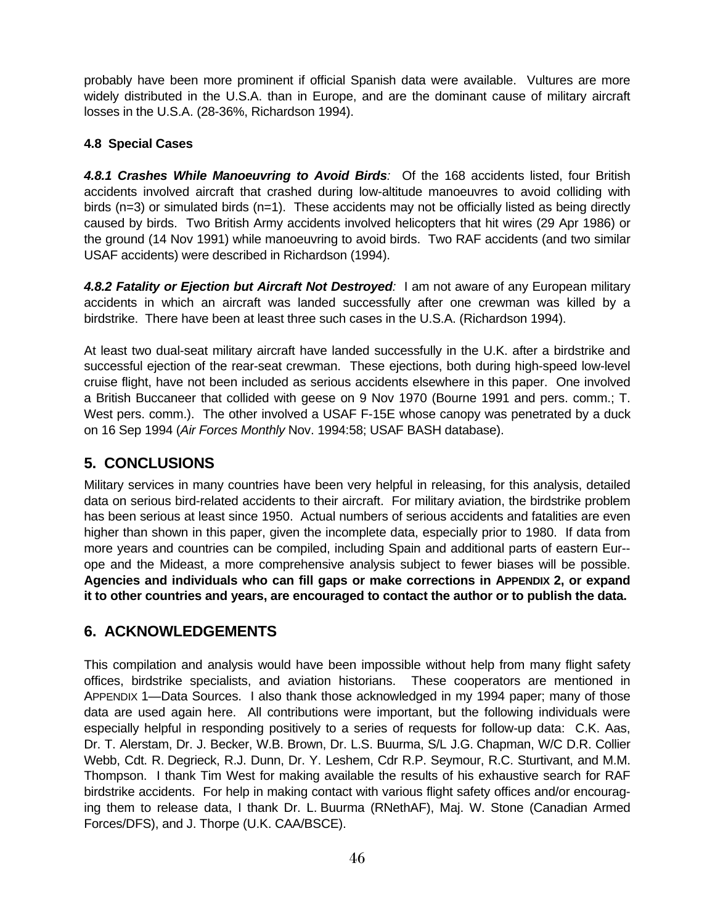probably have been more prominent if official Spanish data were available. Vultures are more widely distributed in the U.S.A. than in Europe, and are the dominant cause of military aircraft losses in the U.S.A. (28-36%, Richardson 1994).

## **4.8 Special Cases**

*4.8.1 Crashes While Manoeuvring to Avoid Birds:* Of the 168 accidents listed, four British accidents involved aircraft that crashed during low-altitude manoeuvres to avoid colliding with birds ( $n=3$ ) or simulated birds ( $n=1$ ). These accidents may not be officially listed as being directly caused by birds. Two British Army accidents involved helicopters that hit wires (29 Apr 1986) or the ground (14 Nov 1991) while manoeuvring to avoid birds. Two RAF accidents (and two similar USAF accidents) were described in Richardson (1994).

*4.8.2 Fatality or Ejection but Aircraft Not Destroyed:* I am not aware of any European military accidents in which an aircraft was landed successfully after one crewman was killed by a birdstrike. There have been at least three such cases in the U.S.A. (Richardson 1994).

At least two dual-seat military aircraft have landed successfully in the U.K. after a birdstrike and successful ejection of the rear-seat crewman. These ejections, both during high-speed low-level cruise flight, have not been included as serious accidents elsewhere in this paper. One involved a British Buccaneer that collided with geese on 9 Nov 1970 (Bourne 1991 and pers. comm.; T. West pers. comm.). The other involved a USAF F-15E whose canopy was penetrated by a duck on 16 Sep 1994 (*Air Forces Monthly* Nov. 1994:58; USAF BASH database).

## **5. CONCLUSIONS**

Military services in many countries have been very helpful in releasing, for this analysis, detailed data on serious bird-related accidents to their aircraft. For military aviation, the birdstrike problem has been serious at least since 1950. Actual numbers of serious accidents and fatalities are even higher than shown in this paper, given the incomplete data, especially prior to 1980. If data from more years and countries can be compiled, including Spain and additional parts of eastern Eur- ope and the Mideast, a more comprehensive analysis subject to fewer biases will be possible. **Agencies and individuals who can fill gaps or make corrections in APPENDIX 2, or expand it to other countries and years, are encouraged to contact the author or to publish the data.**

## **6. ACKNOWLEDGEMENTS**

This compilation and analysis would have been impossible without help from many flight safety offices, birdstrike specialists, and aviation historians. These cooperators are mentioned in APPENDIX 1—Data Sources. I also thank those acknowledged in my 1994 paper; many of those data are used again here. All contributions were important, but the following individuals were especially helpful in responding positively to a series of requests for follow-up data: C.K. Aas, Dr. T. Alerstam, Dr. J. Becker, W.B. Brown, Dr. L.S. Buurma, S/L J.G. Chapman, W/C D.R. Collier Webb, Cdt. R. Degrieck, R.J. Dunn, Dr. Y. Leshem, Cdr R.P. Seymour, R.C. Sturtivant, and M.M. Thompson. I thank Tim West for making available the results of his exhaustive search for RAF birdstrike accidents. For help in making contact with various flight safety offices and/or encouraging them to release data, I thank Dr. L. Buurma (RNethAF), Maj. W. Stone (Canadian Armed Forces/DFS), and J. Thorpe (U.K. CAA/BSCE).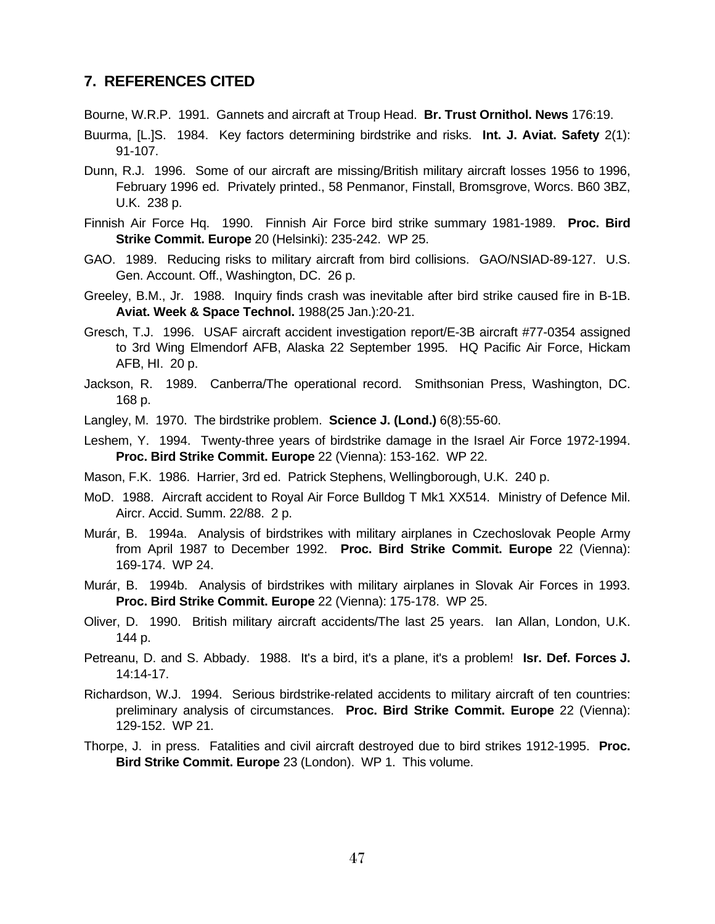## **7. REFERENCES CITED**

Bourne, W.R.P. 1991. Gannets and aircraft at Troup Head. **Br. Trust Ornithol. News** 176:19.

- Buurma, [L.]S. 1984. Key factors determining birdstrike and risks. **Int. J. Aviat. Safety** 2(1): 91-107.
- Dunn, R.J. 1996. Some of our aircraft are missing/British military aircraft losses 1956 to 1996, February 1996 ed. Privately printed., 58 Penmanor, Finstall, Bromsgrove, Worcs. B60 3BZ, U.K. 238 p.
- Finnish Air Force Hq. 1990. Finnish Air Force bird strike summary 1981-1989. **Proc. Bird Strike Commit. Europe** 20 (Helsinki): 235-242. WP 25.
- GAO. 1989. Reducing risks to military aircraft from bird collisions. GAO/NSIAD-89-127. U.S. Gen. Account. Off., Washington, DC. 26 p.
- Greeley, B.M., Jr. 1988. Inquiry finds crash was inevitable after bird strike caused fire in B-1B. **Aviat. Week & Space Technol.** 1988(25 Jan.):20-21.
- Gresch, T.J. 1996. USAF aircraft accident investigation report/E-3B aircraft #77-0354 assigned to 3rd Wing Elmendorf AFB, Alaska 22 September 1995. HQ Pacific Air Force, Hickam AFB, HI. 20 p.
- Jackson, R. 1989. Canberra/The operational record. Smithsonian Press, Washington, DC. 168 p.
- Langley, M. 1970. The birdstrike problem. **Science J. (Lond.)** 6(8):55-60.
- Leshem, Y. 1994. Twenty-three years of birdstrike damage in the Israel Air Force 1972-1994. **Proc. Bird Strike Commit. Europe** 22 (Vienna): 153-162. WP 22.
- Mason, F.K. 1986. Harrier, 3rd ed. Patrick Stephens, Wellingborough, U.K. 240 p.
- MoD. 1988. Aircraft accident to Royal Air Force Bulldog T Mk1 XX514. Ministry of Defence Mil. Aircr. Accid. Summ. 22/88. 2 p.
- Murár, B. 1994a. Analysis of birdstrikes with military airplanes in Czechoslovak People Army from April 1987 to December 1992. **Proc. Bird Strike Commit. Europe** 22 (Vienna): 169-174. WP 24.
- Murár, B. 1994b. Analysis of birdstrikes with military airplanes in Slovak Air Forces in 1993. **Proc. Bird Strike Commit. Europe** 22 (Vienna): 175-178. WP 25.
- Oliver, D. 1990. British military aircraft accidents/The last 25 years. Ian Allan, London, U.K. 144 p.
- Petreanu, D. and S. Abbady. 1988. It's a bird, it's a plane, it's a problem! **Isr. Def. Forces J.** 14:14-17.
- Richardson, W.J. 1994. Serious birdstrike-related accidents to military aircraft of ten countries: preliminary analysis of circumstances. **Proc. Bird Strike Commit. Europe** 22 (Vienna): 129-152. WP 21.
- Thorpe, J. in press. Fatalities and civil aircraft destroyed due to bird strikes 1912-1995. **Proc. Bird Strike Commit. Europe** 23 (London). WP 1. This volume.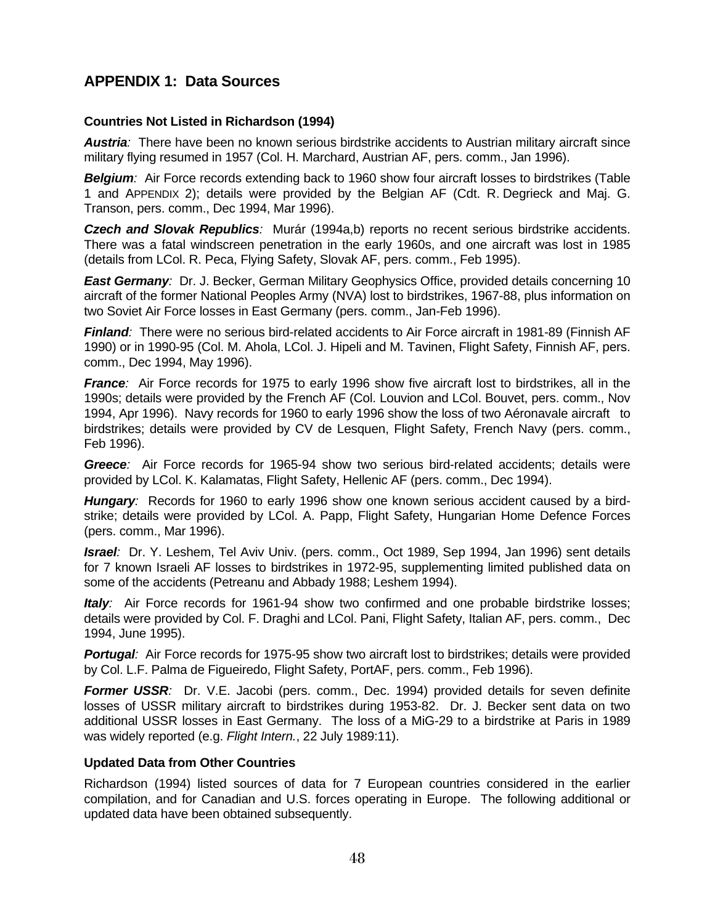## **APPENDIX 1: Data Sources**

#### **Countries Not Listed in Richardson (1994)**

*Austria:* There have been no known serious birdstrike accidents to Austrian military aircraft since military flying resumed in 1957 (Col. H. Marchard, Austrian AF, pers. comm., Jan 1996).

*Belgium:* Air Force records extending back to 1960 show four aircraft losses to birdstrikes (Table 1 and APPENDIX 2); details were provided by the Belgian AF (Cdt. R. Degrieck and Maj. G. Transon, pers. comm., Dec 1994, Mar 1996).

**Czech and Slovak Republics**: Murár (1994a,b) reports no recent serious birdstrike accidents. There was a fatal windscreen penetration in the early 1960s, and one aircraft was lost in 1985 (details from LCol. R. Peca, Flying Safety, Slovak AF, pers. comm., Feb 1995).

*East Germany:* Dr. J. Becker, German Military Geophysics Office, provided details concerning 10 aircraft of the former National Peoples Army (NVA) lost to birdstrikes, 1967-88, plus information on two Soviet Air Force losses in East Germany (pers. comm., Jan-Feb 1996).

*Finland:* There were no serious bird-related accidents to Air Force aircraft in 1981-89 (Finnish AF 1990) or in 1990-95 (Col. M. Ahola, LCol. J. Hipeli and M. Tavinen, Flight Safety, Finnish AF, pers. comm., Dec 1994, May 1996).

*France:* Air Force records for 1975 to early 1996 show five aircraft lost to birdstrikes, all in the 1990s; details were provided by the French AF (Col. Louvion and LCol. Bouvet, pers. comm., Nov 1994, Apr 1996). Navy records for 1960 to early 1996 show the loss of two Aéronavale aircraft to birdstrikes; details were provided by CV de Lesquen, Flight Safety, French Navy (pers. comm., Feb 1996).

*Greece:* Air Force records for 1965-94 show two serious bird-related accidents; details were provided by LCol. K. Kalamatas, Flight Safety, Hellenic AF (pers. comm., Dec 1994).

*Hungary:* Records for 1960 to early 1996 show one known serious accident caused by a birdstrike; details were provided by LCol. A. Papp, Flight Safety, Hungarian Home Defence Forces (pers. comm., Mar 1996).

*Israel:* Dr. Y. Leshem, Tel Aviv Univ. (pers. comm., Oct 1989, Sep 1994, Jan 1996) sent details for 7 known Israeli AF losses to birdstrikes in 1972-95, supplementing limited published data on some of the accidents (Petreanu and Abbady 1988; Leshem 1994).

*Italy:* Air Force records for 1961-94 show two confirmed and one probable birdstrike losses; details were provided by Col. F. Draghi and LCol. Pani, Flight Safety, Italian AF, pers. comm., Dec 1994, June 1995).

**Portugal**: Air Force records for 1975-95 show two aircraft lost to birdstrikes; details were provided by Col. L.F. Palma de Figueiredo, Flight Safety, PortAF, pers. comm., Feb 1996).

**Former USSR**: Dr. V.E. Jacobi (pers. comm., Dec. 1994) provided details for seven definite losses of USSR military aircraft to birdstrikes during 1953-82. Dr. J. Becker sent data on two additional USSR losses in East Germany. The loss of a MiG-29 to a birdstrike at Paris in 1989 was widely reported (e.g. *Flight Intern.*, 22 July 1989:11).

#### **Updated Data from Other Countries**

Richardson (1994) listed sources of data for 7 European countries considered in the earlier compilation, and for Canadian and U.S. forces operating in Europe. The following additional or updated data have been obtained subsequently.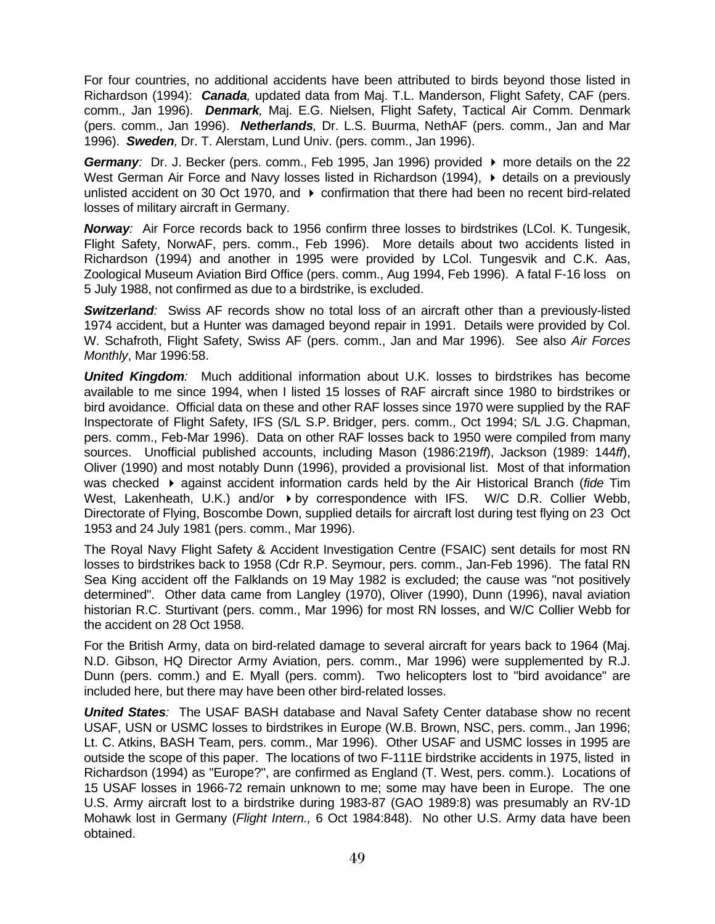For four countries, no additional accidents have been attributed to birds beyond those listed in Richardson (1994): *Canada,* updated data from Maj. T.L. Manderson, Flight Safety, CAF (pers. comm., Jan 1996). *Denmark,* Maj. E.G. Nielsen, Flight Safety, Tactical Air Comm. Denmark (pers. comm., Jan 1996). *Netherlands,* Dr. L.S. Buurma, NethAF (pers. comm., Jan and Mar 1996). *Sweden,* Dr. T. Alerstam, Lund Univ. (pers. comm., Jan 1996).

**Germany**: Dr. J. Becker (pers. comm., Feb 1995, Jan 1996) provided ▶ more details on the 22 West German Air Force and Navy losses listed in Richardson (1994),  $\blacktriangleright$  details on a previously unlisted accident on 30 Oct 1970, and  $\rightarrow$  confirmation that there had been no recent bird-related losses of military aircraft in Germany.

*Norway:* Air Force records back to 1956 confirm three losses to birdstrikes (LCol. K. Tungesik, Flight Safety, NorwAF, pers. comm., Feb 1996). More details about two accidents listed in Richardson (1994) and another in 1995 were provided by LCol. Tungesvik and C.K. Aas, Zoological Museum Aviation Bird Office (pers. comm., Aug 1994, Feb 1996). A fatal F-16 loss on 5 July 1988, not confirmed as due to a birdstrike, is excluded.

*Switzerland:* Swiss AF records show no total loss of an aircraft other than a previously-listed 1974 accident, but a Hunter was damaged beyond repair in 1991. Details were provided by Col. W. Schafroth, Flight Safety, Swiss AF (pers. comm., Jan and Mar 1996). See also *Air Forces Monthly*, Mar 1996:58.

*United Kingdom:* Much additional information about U.K. losses to birdstrikes has become available to me since 1994, when I listed 15 losses of RAF aircraft since 1980 to birdstrikes or bird avoidance. Official data on these and other RAF losses since 1970 were supplied by the RAF Inspectorate of Flight Safety, IFS (S/L S.P. Bridger, pers. comm., Oct 1994; S/L J.G. Chapman, pers. comm., Feb-Mar 1996). Data on other RAF losses back to 1950 were compiled from many sources. Unofficial published accounts, including Mason (1986:219*ff*), Jackson (1989: 144*ff*), Oliver (1990) and most notably Dunn (1996), provided a provisional list. Most of that information was checked  $\rightarrow$  against accident information cards held by the Air Historical Branch (*fide* Tim West, Lakenheath, U.K.) and/or  $\rightarrow$  by correspondence with IFS. W/C D.R. Collier Webb, Directorate of Flying, Boscombe Down, supplied details for aircraft lost during test flying on 23 Oct 1953 and 24 July 1981 (pers. comm., Mar 1996).

The Royal Navy Flight Safety & Accident Investigation Centre (FSAIC) sent details for most RN losses to birdstrikes back to 1958 (Cdr R.P. Seymour, pers. comm., Jan-Feb 1996). The fatal RN Sea King accident off the Falklands on 19 May 1982 is excluded; the cause was "not positively determined". Other data came from Langley (1970), Oliver (1990), Dunn (1996), naval aviation historian R.C. Sturtivant (pers. comm., Mar 1996) for most RN losses, and W/C Collier Webb for the accident on 28 Oct 1958.

For the British Army, data on bird-related damage to several aircraft for years back to 1964 (Maj. N.D. Gibson, HQ Director Army Aviation, pers. comm., Mar 1996) were supplemented by R.J. Dunn (pers. comm.) and E. Myall (pers. comm). Two helicopters lost to "bird avoidance" are included here, but there may have been other bird-related losses.

*United States:* The USAF BASH database and Naval Safety Center database show no recent USAF, USN or USMC losses to birdstrikes in Europe (W.B. Brown, NSC, pers. comm., Jan 1996; Lt. C. Atkins, BASH Team, pers. comm., Mar 1996). Other USAF and USMC losses in 1995 are outside the scope of this paper. The locations of two F-111E birdstrike accidents in 1975, listed in Richardson (1994) as "Europe?", are confirmed as England (T. West, pers. comm.). Locations of 15 USAF losses in 1966-72 remain unknown to me; some may have been in Europe. The one U.S. Army aircraft lost to a birdstrike during 1983-87 (GAO 1989:8) was presumably an RV-1D Mohawk lost in Germany (*Flight Intern.,* 6 Oct 1984:848). No other U.S. Army data have been obtained.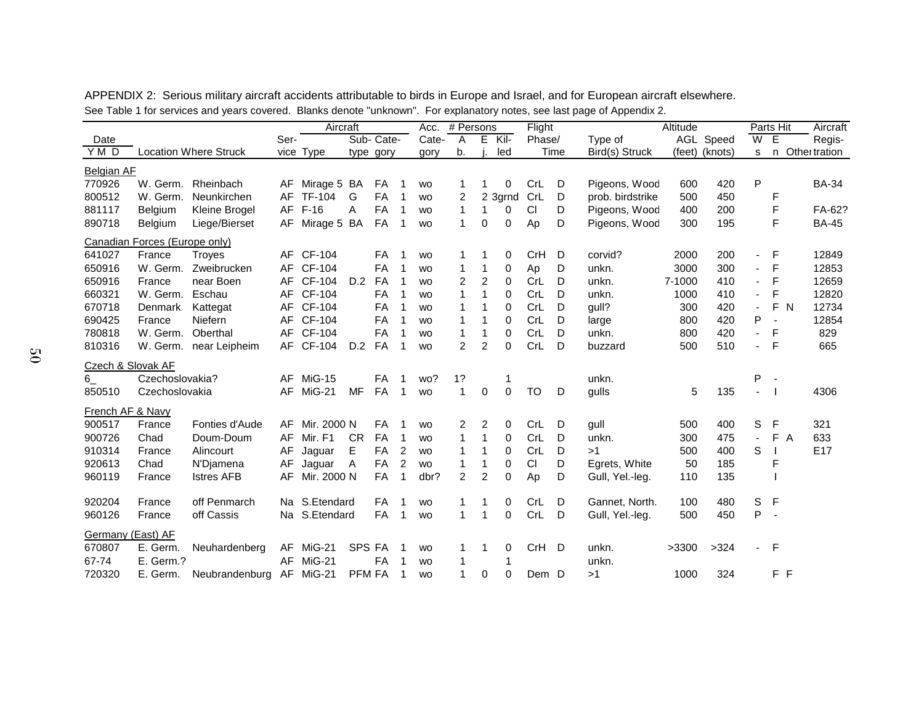|                   |                               |                              | Aircraft |               |               |           |                |                        | # Persons<br>Acc. |                | Flight      |           |      | Altitude         |        | Parts Hit      |                              |                          | Aircraft       |                |
|-------------------|-------------------------------|------------------------------|----------|---------------|---------------|-----------|----------------|------------------------|-------------------|----------------|-------------|-----------|------|------------------|--------|----------------|------------------------------|--------------------------|----------------|----------------|
| Date              |                               |                              | Ser-     |               |               | Sub-Cate- |                | Cate-                  | $\overline{A}$    |                | $E$ Kil-    | Phase/    |      | Type of          |        | AGL Speed      | W                            | E                        |                | Regis-         |
| YMD               |                               | <b>Location Where Struck</b> |          | vice Type     |               | type gory |                | gory                   | b.                |                | led         |           | Time | Bird(s) Struck   |        | (feet) (knots) | s                            |                          |                | n Othertration |
| <b>Belgian AF</b> |                               |                              |          |               |               |           |                |                        |                   |                |             |           |      |                  |        |                |                              |                          |                |                |
| 770926            | W. Germ.                      | Rheinbach                    | AF       | Mirage 5 BA   |               | FA        |                | <b>WO</b>              |                   |                | 0           | CrL       | D    | Pigeons, Wood    | 600    | 420            | $\sf P$                      |                          |                | <b>BA-34</b>   |
| 800512            | W. Germ.                      | Neunkirchen                  | AF       | <b>TF-104</b> | G             | FA        | 1              | <b>WO</b>              | 2                 |                | 2 3grnd     | CrL       | D    | prob. birdstrike | 500    | 450            |                              | F                        |                |                |
| 881117            | Belgium                       | Kleine Brogel                | AF       | $F-16$        | A             | FA        | 1              | <b>WO</b>              | $\mathbf{1}$      | 1              | 0           | CI        | D    | Pigeons, Wood    | 400    | 200            |                              | F                        |                | FA-62?         |
| 890718            | Belgium                       | Liege/Bierset                | AF       | Mirage 5 BA   |               | FA        | - 1            | <b>WO</b>              | $\mathbf{1}$      | 0              | $\mathbf 0$ | Ap        | D    | Pigeons, Wood    | 300    | 195            |                              | F                        |                | <b>BA-45</b>   |
|                   | Canadian Forces (Europe only) |                              |          |               |               |           |                |                        |                   |                |             |           |      |                  |        |                |                              |                          |                |                |
| 641027            | France                        | Troyes                       |          | AF CF-104     |               | FA        |                | <b>WO</b>              |                   |                | 0           | CrH       | D    | corvid?          | 2000   | 200            | ÷,                           | -F                       |                | 12849          |
| 650916            | W. Germ.                      | Zweibrucken                  | AF       | CF-104        |               | <b>FA</b> | 1              | <b>WO</b>              | 1                 | 1              | 0           | Ap        | D    | unkn.            | 3000   | 300            | $\overline{\phantom{0}}$     | F                        |                | 12853          |
| 650916            | France                        | near Boen                    | AF       | CF-104        | D.2           | <b>FA</b> | -1             | <b>WO</b>              | 2                 | $\overline{2}$ | $\Omega$    | CrL       | D    | unkn.            | 7-1000 | 410            | $\overline{\phantom{a}}$     | F                        |                | 12659          |
| 660321            | W. Germ.                      | Eschau                       | AF       | CF-104        |               | <b>FA</b> | 1              | <b>WO</b>              |                   | 1              | 0           | CrL       | D    | unkn.            | 1000   | 410            | $\overline{\phantom{a}}$     | F                        |                | 12820          |
| 670718            | Denmark                       | Kattegat                     | AF       | CF-104        |               | <b>FA</b> | -1             | <b>WO</b>              |                   | 1              | 0           | CrL       | D    | gull?            | 300    | 420            | $\qquad \qquad \blacksquare$ | F                        | $\overline{N}$ | 12734          |
| 690425            | France                        | Niefern                      | AF       | CF-104        |               | FA        | 1              | <b>WO</b>              |                   |                | 0           | CrL       | D    | large            | 800    | 420            | Ρ                            | $\overline{\phantom{a}}$ |                | 12854          |
| 780818            | W. Germ.                      | Oberthal                     | AF       | CF-104        |               | FA        | 1              | <b>WO</b>              | 1                 | 1              | 0           | CrL       | D    | unkn.            | 800    | 420            | $\blacksquare$               | F                        |                | 829            |
| 810316            | W. Germ.                      | near Leipheim                |          | AF CF-104     | D.2           | FA        | 1              | <b>WO</b>              | $\overline{2}$    | $\overline{2}$ | $\Omega$    | CrL       | D    | buzzard          | 500    | 510            | $\blacksquare$               | F                        |                | 665            |
| Czech & Slovak AF |                               |                              |          |               |               |           |                |                        |                   |                |             |           |      |                  |        |                |                              |                          |                |                |
| $6-$              | Czechoslovakia?               |                              | AF       | MiG-15        |               | FA        | 1              | wo?                    | 1?                |                | 1           |           |      | unkn.            |        |                | P                            | $\overline{\phantom{a}}$ |                |                |
| 850510            | Czechoslovakia                |                              | AF       | MiG-21        | MF            | FA        | $\overline{1}$ | <b>WO</b>              | 1                 | 0              | $\mathbf 0$ | <b>TO</b> | D    | gulls            | 5      | 135            | $\blacksquare$               |                          |                | 4306           |
| French AF & Navy  |                               |                              |          |               |               |           |                |                        |                   |                |             |           |      |                  |        |                |                              |                          |                |                |
| 900517            | France                        | Fonties d'Aude               | AF.      | Mir. 2000 N   |               | <b>FA</b> | 1              | <b>WO</b>              | 2                 | 2              | 0           | CrL       | D    | gull             | 500    | 400            | S                            | F                        |                | 321            |
| 900726            | Chad                          | Doum-Doum                    | AF       | Mir. F1       | <b>CR</b>     | <b>FA</b> | 1              | <b>WO</b>              |                   | 1              | 0           | CrL       | D    | unkn.            | 300    | 475            | $\blacksquare$               | F                        | A              | 633            |
| 910314            | France                        | Alincourt                    | AF       | Jaguar        | E             | FA        | $\overline{c}$ | <b>WO</b>              |                   |                | 0           | CrL       | D    | >1               | 500    | 400            | S                            |                          |                | E17            |
| 920613            | Chad                          | N'Djamena                    | AF       | Jaguar        | $\mathsf{A}$  | FA        | $\overline{c}$ | <b>WO</b>              |                   |                | 0           | <b>CI</b> | D    | Egrets, White    | 50     | 185            |                              | F                        |                |                |
| 960119            | France                        | <b>Istres AFB</b>            | AF       | Mir. 2000 N   |               | FA        | 1              | dbr?                   | $\overline{2}$    | $\overline{c}$ | $\Omega$    | Ap        | D    | Gull, Yel.-leg.  | 110    | 135            |                              |                          |                |                |
| 920204            | France                        | off Penmarch                 |          | Na S.Etendard |               | FA        | 1              |                        |                   | 1              | 0           | CrL       | D    | Gannet, North.   | 100    | 480            | S                            | $\mathsf F$              |                |                |
| 960126            | France                        | off Cassis                   |          | Na S.Etendard |               | <b>FA</b> | 1              | <b>WO</b><br><b>WO</b> | 1<br>1            | 1              | $\mathbf 0$ | CrL       | D    | Gull, Yel.-leg.  | 500    | 450            | P                            | $\sim$                   |                |                |
|                   |                               |                              |          |               |               |           |                |                        |                   |                |             |           |      |                  |        |                |                              |                          |                |                |
| Germany (East) AF |                               |                              |          |               |               |           |                |                        |                   |                |             |           |      |                  |        |                |                              |                          |                |                |
| 670807            | E. Germ.                      | Neuhardenberg                | AF       | MiG-21        | SPS FA        |           |                | <b>WO</b>              |                   |                | 0           | CrH       | D    | unkn.            | >3300  | >324           | $\blacksquare$               | F                        |                |                |
| 67-74             | E. Germ.?                     |                              | AF       | $MiG-21$      |               | <b>FA</b> |                | <b>WO</b>              |                   |                | 1           |           |      | unkn.            |        |                |                              |                          |                |                |
| 720320            | E. Germ.                      | Neubrandenburg               | AF       | MiG-21        | <b>PFM FA</b> |           | 1              | <b>WO</b>              |                   | 0              | $\Omega$    | Dem D     |      | >1               | 1000   | 324            |                              |                          | F F            |                |

APPENDIX 2: Serious military aircraft accidents attributable to birds in Europe and Israel, and for European aircraft elsewhere. See Table 1 for services and years covered. Blanks denote "unknown". For explanatory notes, see last page of Appendix 2.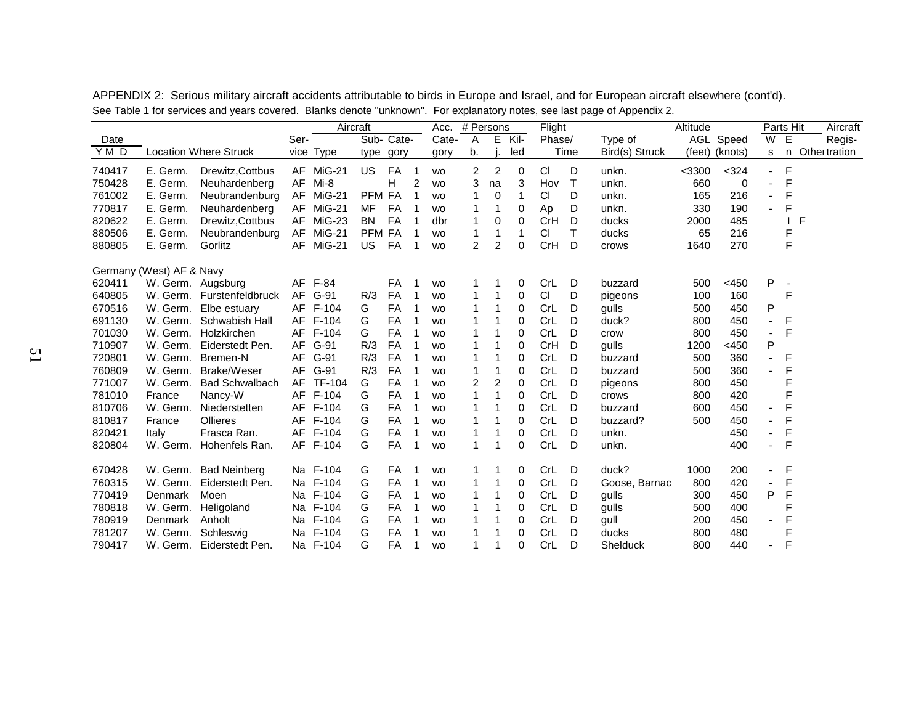|                    |                          |                              | Aircraft |               |            |           |    |           | Flight<br># Persons<br>Acc. |    |             |            |        | . .            | Altitude |                |                | Parts Hit | Aircraft      |
|--------------------|--------------------------|------------------------------|----------|---------------|------------|-----------|----|-----------|-----------------------------|----|-------------|------------|--------|----------------|----------|----------------|----------------|-----------|---------------|
| Date               |                          |                              | Ser-     |               | Sub-       | Cate-     |    | Cate-     | A                           | E  | Kil-        | Phase/     |        | Type of        |          | AGL Speed      | W              | Ε         | Regis-        |
| $\overline{Y}$ M D |                          | <b>Location Where Struck</b> |          | vice Type     | type       | gory      |    | gory      | b.                          |    | led         |            | Time   | Bird(s) Struck |          | (feet) (knots) | s              | n.        | Other tration |
| 740417             | E. Germ.                 | Drewitz, Cottbus             |          | AF MiG-21     | <b>US</b>  | FA        |    | <b>WO</b> | $\overline{2}$              | 2  | $\mathbf 0$ | CI         | D      | unkn.          | $<$ 3300 | $324$          |                | F         |               |
| 750428             | E. Germ.                 | Neuhardenberg                | AF       | Mi-8          |            | Н         | 2  | <b>WO</b> | 3                           | na | 3           | Hov        | $\top$ | unkn.          | 660      | 0              |                | F         |               |
| 761002             | E. Germ.                 | Neubrandenburg               |          | AF MiG-21     | PFM FA     |           |    | <b>WO</b> |                             | 0  | 1           | CI         | D      | unkn.          | 165      | 216            |                | F         |               |
| 770817             | E. Germ.                 | Neuhardenberg                | AF       | MiG-21        | <b>MF</b>  | FA        |    | <b>WO</b> |                             |    | 0           | Ap         | D      | unkn.          | 330      | 190            |                | F         |               |
| 820622             | E. Germ.                 | Drewitz, Cottbus             |          | AF MiG-23     | <b>BN</b>  | FA        |    | dbr       |                             | 0  | 0           | CrH        | D      | ducks          | 2000     | 485            |                |           | F             |
| 880506             | E. Germ.                 | Neubrandenburg               | AF       | $MiG-21$      | <b>PFM</b> | FA        |    | <b>WO</b> |                             | 1  | 1           | CI         | Τ      | ducks          | 65       | 216            |                | F         |               |
| 880805             | E. Germ.                 | Gorlitz                      | AF       | MiG-21        | US.        | FA        |    | <b>WO</b> | $\overline{2}$              | 2  | 0           | CrH        | D      | crows          | 1640     | 270            |                | F         |               |
|                    | Germany (West) AF & Navy |                              |          |               |            |           |    |           |                             |    |             |            |        |                |          |                |                |           |               |
| 620411             | W. Germ.                 | Augsburg                     |          | AF F-84       |            | FA        |    | <b>WO</b> |                             |    | 0           | CrL        | D      | buzzard        | 500      | $<$ 450        | P              |           |               |
| 640805             | W. Germ.                 | Furstenfeldbruck             | AF       | G-91          | R/3        | FA        | -1 | <b>WO</b> |                             |    | 0           | CI         | D      | pigeons        | 100      | 160            |                | F         |               |
| 670516             | W. Germ.                 | Elbe estuary                 |          | AF F-104      | G          | FA        | 1  | <b>WO</b> |                             |    | 0           | CrL        | D      | gulls          | 500      | 450            | Ρ              |           |               |
| 691130             | W. Germ.                 | Schwabish Hall               |          | AF F-104      | G          | FA        |    | <b>WO</b> |                             |    | 0           | CrL        | D      | duck?          | 800      | 450            | $\blacksquare$ | F         |               |
| 701030             | W. Germ.                 | Holzkirchen                  |          | AF F-104      | G          | FA        |    | <b>WO</b> |                             |    | 0           | CrL        | D      | crow           | 800      | 450            | $\blacksquare$ | F         |               |
| 710907             | W. Germ.                 | Eiderstedt Pen.              |          | AF G-91       | R/3        | FA        |    | <b>WO</b> |                             |    | 0           | CrH        | D      | gulls          | 1200     | <450           | Ρ              |           |               |
| 720801             | W. Germ.                 | Bremen-N                     |          | AF G-91       | R/3        | FA        |    | <b>WO</b> |                             |    | 0           | CrL        | D      | buzzard        | 500      | 360            |                | F         |               |
| 760809             | W. Germ.                 | Brake/Weser                  |          | AF G-91       | R/3        | FA        |    | <b>WO</b> |                             |    | 0           | CrL        | D      | buzzard        | 500      | 360            |                | F         |               |
| 771007             | W. Germ.                 | <b>Bad Schwalbach</b>        | AF       | <b>TF-104</b> | G          | FA        |    | <b>WO</b> | $\overline{c}$              | 2  | 0           | CrL        | D      | pigeons        | 800      | 450            |                |           |               |
| 781010             | France                   | Nancy-W                      |          | AF F-104      | G          | FA        |    | <b>WO</b> |                             |    | 0           | <b>CrL</b> | D      | crows          | 800      | 420            |                |           |               |
| 810706             | W. Germ.                 | Niederstetten                |          | AF F-104      | G          | FA        |    | <b>WO</b> |                             |    | 0           | CrL        | D      | buzzard        | 600      | 450            |                | F         |               |
| 810817             | France                   | Ollieres                     | AF       | F-104         | G          | FA        |    | <b>WO</b> |                             |    | 0           | CrL        | D      | buzzard?       | 500      | 450            |                | F         |               |
| 820421             | Italy                    | Frasca Ran.                  |          | AF F-104      | G          | FA        |    | <b>WO</b> |                             | 1  | 0           | CrL        | D      | unkn.          |          | 450            |                | F         |               |
| 820804             | W. Germ.                 | Hohenfels Ran.               |          | AF F-104      | G          | FA        |    | <b>WO</b> | 1                           | 1  | 0           | CrL        | D      | unkn.          |          | 400            |                | F         |               |
| 670428             | W. Germ.                 | <b>Bad Neinberg</b>          |          | Na F-104      | G          | FA        |    | <b>WO</b> | 1                           |    | 0           | CrL        | D      | duck?          | 1000     | 200            |                | F         |               |
| 760315             | W. Germ.                 | Eiderstedt Pen.              |          | Na F-104      | G          | FA        |    | <b>WO</b> |                             |    | 0           | CrL        | D      | Goose, Barnac  | 800      | 420            |                | F         |               |
| 770419             | Denmark                  | Moen                         |          | Na F-104      | G          | FA        |    | <b>WO</b> |                             | 1  | 0           | CrL        | D      | gulls          | 300      | 450            | P              | F         |               |
| 780818             | W. Germ.                 | Heligoland                   |          | Na F-104      | G          | <b>FA</b> |    | <b>WO</b> |                             |    | 0           | CrL        | D      | gulls          | 500      | 400            |                | F         |               |
| 780919             | Denmark                  | Anholt                       |          | Na F-104      | G          | FA        |    | <b>WO</b> |                             |    | 0           | CrL        | D      | gull           | 200      | 450            |                | F         |               |
| 781207             | W. Germ.                 | Schleswig                    |          | Na F-104      | G          | FA        |    | <b>WO</b> |                             |    | 0           | CrL        | D      | ducks          | 800      | 480            |                | F         |               |
| 790417             | W. Germ.                 | Eiderstedt Pen.              |          | Na F-104      | G          | FA        |    | <b>WO</b> |                             |    | $\Omega$    | <b>CrL</b> | D      | Shelduck       | 800      | 440            |                | F         |               |

APPENDIX 2: Serious military aircraft accidents attributable to birds in Europe and Israel, and for European aircraft elsewhere (cont'd). See Table 1 for services and years covered. Blanks denote "unknown". For explanatory notes, see last page of Appendix 2.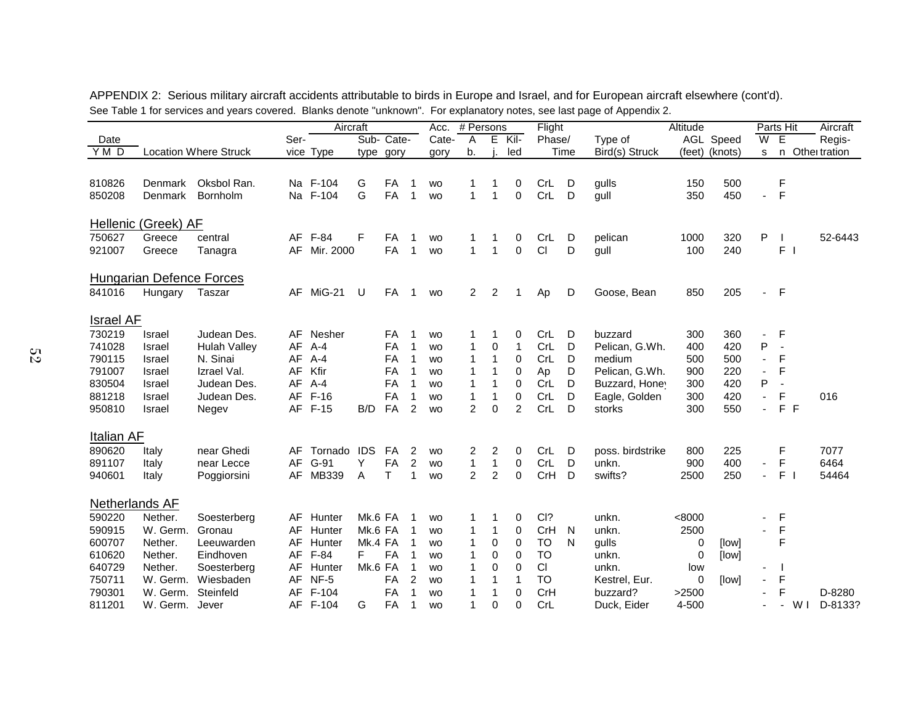|                  |                          |                              | Aircraft |                  |         |            |                     |           | # Persons<br>Acc. |                |                |                        | Flight |                           | Altitude |                |                          | Parts Hit                | Aircraft      |
|------------------|--------------------------|------------------------------|----------|------------------|---------|------------|---------------------|-----------|-------------------|----------------|----------------|------------------------|--------|---------------------------|----------|----------------|--------------------------|--------------------------|---------------|
| Date             |                          |                              | Ser-     |                  |         | Sub- Cate- |                     | Cate-     | Α                 | Е              | $Kil-$         | Phase/                 |        | Type of                   |          | AGL Speed      | $\overline{\mathsf{W}}$  | Έ                        | Regis-        |
| YMD              |                          | <b>Location Where Struck</b> |          | vice Type        |         | type gory  |                     | gory      | b.                |                | led            |                        | Time   | Bird(s) Struck            |          | (feet) (knots) | s                        | n                        | Other tration |
|                  |                          |                              |          |                  |         |            |                     |           |                   |                |                |                        |        |                           |          |                |                          |                          |               |
| 810826           | <b>Denmark</b>           | Oksbol Ran.                  |          | Na F-104         | G       | FA         | -1                  | <b>WO</b> | 1                 | 1              | 0              | CrL                    | D      | gulls                     | 150      | 500            |                          | F                        |               |
| 850208           | <b>Denmark</b>           | Bornholm                     |          | Na F-104         | G       | FA         | 1                   | <b>WO</b> | $\mathbf{1}$      | 1              | $\mathbf 0$    | CrL                    | D      | gull                      | 350      | 450            | ä,                       | F                        |               |
|                  |                          |                              |          |                  |         |            |                     |           |                   |                |                |                        |        |                           |          |                |                          |                          |               |
|                  | Hellenic (Greek) AF      |                              |          |                  |         |            |                     |           |                   |                |                |                        |        |                           |          |                |                          |                          |               |
| 750627           | Greece                   | central                      |          | AF F-84          | F       | FA         | -1                  | <b>WO</b> | 1                 |                | 0              | CrL                    | D      | pelican                   | 1000     | 320            | Ρ                        |                          | 52-6443       |
| 921007           | Greece                   | Tanagra                      |          | AF Mir. 2000     |         | FA         | $\overline{1}$      | <b>WO</b> | $\mathbf{1}$      | 1              | $\mathbf 0$    | CI                     | D      | gull                      | 100      | 240            |                          | F <sub>1</sub>           |               |
|                  | Hungarian Defence Forces |                              |          |                  |         |            |                     |           |                   |                |                |                        |        |                           |          |                |                          |                          |               |
| 841016           | Hungary                  | Taszar                       | AF       | MiG-21           | U       | FA         | $\overline{1}$      | <b>WO</b> | $\overline{2}$    | $\overline{2}$ | 1              | Ap                     | D      | Goose, Bean               | 850      | 205            | $\blacksquare$           | $-F$                     |               |
|                  |                          |                              |          |                  |         |            |                     |           |                   |                |                |                        |        |                           |          |                |                          |                          |               |
| <b>Israel AF</b> |                          |                              |          |                  |         |            |                     |           |                   |                |                |                        |        |                           |          |                |                          |                          |               |
| 730219           | Israel                   | Judean Des.                  | AF       | Nesher           |         | FA         | -1                  | <b>WO</b> | 1                 | 1              | 0              | CrL                    | D      | buzzard                   | 300      | 360            | ٠                        | F                        |               |
| 741028           | Israel                   | <b>Hulah Valley</b>          | AF       | A-4              |         | FA         | $\mathbf 1$         | <b>WO</b> | 1                 | 0              | 1              | CrL                    | D      | Pelican, G.Wh.            | 400      | 420            | P                        | ÷,                       |               |
| 790115           | Israel                   | N. Sinai                     | AF       | $A-4$            |         | FA         | 1                   | <b>WO</b> | 1                 | 1              | 0              | CrL                    | D      | medium                    | 500      | 500            | $\blacksquare$           | F                        |               |
| 791007           | Israel                   | Izrael Val.                  | AF       | Kfir             |         | FA         | 1                   | <b>WO</b> | 1                 | 1              | 0              | Ap                     | D      | Pelican, G.Wh.            | 900      | 220            | ä,                       | F                        |               |
| 830504           | Israel                   | Judean Des.                  | AF       | A-4              |         | FA         | 1                   | <b>WO</b> | 1                 | 1              | 0              | CrL                    | D      | Buzzard, Honey            | 300      | 420            | P                        |                          |               |
| 881218           | Israel                   | Judean Des.                  | AF       | $F-16$           |         | FA         | 1                   | <b>WO</b> | 1                 | 1              | 0              | CrL                    | D      | Eagle, Golden             | 300      | 420            | ÷,                       | F                        | 016           |
| 950810           | Israel                   | Negev                        |          | AF F-15          | B/D     | FA         | 2                   | <b>WO</b> | $\overline{2}$    | 0              | $\overline{2}$ | CrL                    | D      | storks                    | 300      | 550            | $\overline{a}$           | F F                      |               |
| Italian AF       |                          |                              |          |                  |         |            |                     |           |                   |                |                |                        |        |                           |          |                |                          |                          |               |
| 890620           | Italy                    | near Ghedi                   | AF       | Tornado IDS      |         | FA         | $\overline{c}$      | <b>WO</b> | 2                 | 2              | 0              | CrL                    | D      | poss. birdstrike          | 800      | 225            |                          | F                        | 7077          |
| 891107           | Italy                    | near Lecce                   | AF       | G-91             | Y       | FA         | $\overline{c}$      | <b>WO</b> | $\mathbf 1$       | 1              | 0              | CrL                    | D      | unkn.                     | 900      | 400            | $\blacksquare$           | F                        | 6464          |
| 940601           | Italy                    | Poggiorsini                  | AF       | MB339            | A       | T          | 1                   | <b>WO</b> | $\overline{2}$    | $\overline{2}$ | $\overline{0}$ | CrH                    | D      | swifts?                   | 2500     | 250            | ä,                       | F <sub>1</sub>           | 54464         |
| Netherlands AF   |                          |                              |          |                  |         |            |                     |           |                   |                |                |                        |        |                           |          |                |                          |                          |               |
| 590220           | Nether.                  | Soesterberg                  | AF       | Hunter           | Mk.6 FA |            |                     | <b>WO</b> | 1                 | 1              | 0              | CI?                    |        | unkn.                     | < 8000   |                | ٠                        | F                        |               |
| 590915           | W. Germ.                 | Gronau                       | AF       | Hunter           | Mk.6 FA |            |                     |           | 1                 | 1              | 0              | CrH                    | N      | unkn.                     | 2500     |                | $\overline{\phantom{a}}$ | F                        |               |
|                  |                          |                              |          |                  |         |            | -1                  | <b>WO</b> | 1                 |                |                |                        |        |                           |          |                |                          | F                        |               |
| 600707<br>610620 | Nether.                  | Leeuwarden                   | AF       | Hunter           | Mk.4 FA |            | 1                   | <b>WO</b> | 1                 | 0              | 0              | <b>TO</b><br><b>TO</b> | N      | gulls                     | 0        | [low]          |                          |                          |               |
|                  | Nether.                  | Eindhoven                    |          | AF F-84          | F.      | FA         |                     | <b>WO</b> |                   | 0              | $\mathbf 0$    |                        |        | unkn.                     | 0        | [low]          |                          |                          |               |
| 640729<br>750711 | Nether.                  | Soesterberg<br>Wiesbaden     | AF       | Hunter           | Mk.6 FA | FA         | 1                   | <b>WO</b> | 1<br>1            | 0<br>1         | 0<br>1         | CI<br><b>TO</b>        |        | unkn.                     | low      |                | ٠                        | $\mathsf F$              |               |
| 790301           | W. Germ.                 |                              |          | AF NF-5<br>F-104 |         |            | $\overline{c}$<br>1 | <b>WO</b> |                   |                |                | CrH                    |        | Kestrel, Eur.<br>buzzard? | 0        | [low]          | $\blacksquare$<br>÷,     | F                        |               |
|                  | W. Germ.                 | Steinfeld                    | AF       |                  |         | FA         |                     | <b>WO</b> |                   |                | 0              |                        |        |                           | >2500    |                |                          |                          | D-8280        |
| 811201           | W. Germ. Jever           |                              |          | AF F-104         | G       | FA         | $\mathbf{1}$        | <b>WO</b> | 1                 | $\Omega$       | $\Omega$       | CrL                    |        | Duck, Eider               | 4-500    |                |                          | W <sub>1</sub><br>$\sim$ | D-8133?       |

APPENDIX 2: Serious military aircraft accidents attributable to birds in Europe and Israel, and for European aircraft elsewhere (cont'd). See Table 1 for services and years covered. Blanks denote "unknown". For explanatory notes, see last page of Appendix 2.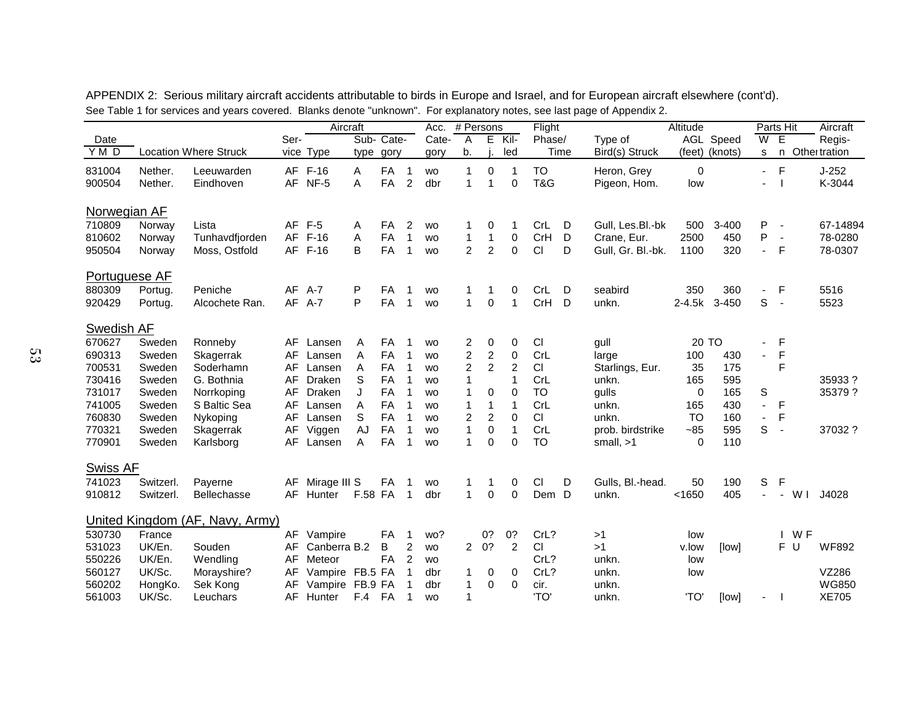|                      | Aircraft  |                                 |      |                 |         |            |                | Acc.      |                | # Persons      |                | Flight    |      | . .               | Altitude  |                | Parts Hit                |                          |        | Aircraft      |
|----------------------|-----------|---------------------------------|------|-----------------|---------|------------|----------------|-----------|----------------|----------------|----------------|-----------|------|-------------------|-----------|----------------|--------------------------|--------------------------|--------|---------------|
| Date                 |           |                                 | Ser- |                 |         | Sub- Cate- |                | Cate-     | A              | Е              | Kil-           | Phase/    |      | Type of           |           | AGL Speed      | W                        | Έ                        |        | Regis-        |
| YMD                  |           | <b>Location Where Struck</b>    |      | vice Type       | type    | gory       |                | gory      | b.             |                | led            |           | Time | Bird(s) Struck    |           | (feet) (knots) | s                        | n                        |        | Othei tration |
| 831004               | Nether.   | Leeuwarden                      |      | AF F-16         | Α       | FA         | $\mathbf{1}$   | <b>WO</b> | $\mathbf{1}$   | 0              | 1              | <b>TO</b> |      | Heron, Grey       | 0         |                | $\sim$                   | $\mathsf F$              |        | $J-252$       |
| 900504               | Nether.   | Eindhoven                       | AF   | NF-5            | A       | <b>FA</b>  | $\overline{2}$ | dbr       | $\mathbf{1}$   | $\mathbf{1}$   | $\mathbf 0$    | T&G       |      | Pigeon, Hom.      | low       |                |                          |                          |        | K-3044        |
| Norwegian AF         |           |                                 |      |                 |         |            |                |           |                |                |                |           |      |                   |           |                |                          |                          |        |               |
| 710809               | Norway    | Lista                           | AF   | $F-5$           | A       | <b>FA</b>  | $\overline{2}$ | <b>WO</b> | 1              | 0              | 1              | CrL       | D    | Gull, Les.Bl.-bk  | 500       | $3 - 400$      | P                        | $\overline{\phantom{a}}$ |        | 67-14894      |
| 810602               | Norway    | Tunhavdfjorden                  | AF   | $F-16$          | A       | FA         | $\mathbf{1}$   | <b>WO</b> | 1              | 1              | $\pmb{0}$      | CrH       | D    | Crane, Eur.       | 2500      | 450            | P                        | $\sim$                   |        | 78-0280       |
| 950504               | Norway    | Moss, Ostfold                   |      | AF F-16         | B       | <b>FA</b>  | 1              | <b>WO</b> | $\overline{2}$ | 2              | $\mathbf 0$    | <b>CI</b> | D    | Gull, Gr. Bl.-bk. | 1100      | 320            | $\blacksquare$           | F                        |        | 78-0307       |
| <b>Portuguese AF</b> |           |                                 |      |                 |         |            |                |           |                |                |                |           |      |                   |           |                |                          |                          |        |               |
| 880309               | Portug.   | Peniche                         | AF   | A-7             | P       | <b>FA</b>  | $\mathbf 1$    | <b>WO</b> | 1              | 1              | 0              | CrL       | D    | seabird           | 350       | 360            | $\blacksquare$           | F                        |        | 5516          |
| 920429               | Portug.   | Alcochete Ran.                  | AF   | $A-7$           | P       | FA         | $\mathbf 1$    | <b>WO</b> | $\mathbf{1}$   | $\mathbf 0$    | $\mathbf{1}$   | CrH       | D    | unkn.             | $2-4.5k$  | $3 - 450$      | S                        | $\sim$                   |        | 5523          |
| Swedish AF           |           |                                 |      |                 |         |            |                |           |                |                |                |           |      |                   |           |                |                          |                          |        |               |
| 670627               | Sweden    | Ronneby                         | AF   | Lansen          | Α       | FA         | $\mathbf 1$    | <b>WO</b> | $\overline{2}$ | 0              | 0              | CI        |      | gull              |           | 20 TO          | ٠                        | F                        |        |               |
| 690313               | Sweden    | Skagerrak                       | AF   | Lansen          | Α       | <b>FA</b>  | $\mathbf 1$    | <b>WO</b> | 2              | $\overline{c}$ | $\,0\,$        | CrL       |      | large             | 100       | 430            | $\overline{\phantom{a}}$ | F                        |        |               |
| 700531               | Sweden    | Soderhamn                       | AF   | Lansen          | Α       | FA         | 1              | <b>WO</b> | $\overline{2}$ | $\overline{2}$ | $\overline{c}$ | CI        |      | Starlings, Eur.   | 35        | 175            |                          | F                        |        |               |
| 730416               | Sweden    | G. Bothnia                      | AF   | Draken          | S       | <b>FA</b>  | 1              | <b>WO</b> | 1              |                | $\mathbf{1}$   | CrL       |      | unkn.             | 165       | 595            |                          |                          |        | 35933?        |
| 731017               | Sweden    | Norrkoping                      | AF   | Draken          | J       | <b>FA</b>  | 1              | <b>WO</b> | 1              | 0              | $\mathbf 0$    | <b>TO</b> |      | qulls             | 0         | 165            | S                        |                          |        | 35379 ?       |
| 741005               | Sweden    | S Baltic Sea                    | AF   | Lansen          | Α       | <b>FA</b>  |                | <b>WO</b> | 1              | 1              | 1              | CrL       |      | unkn.             | 165       | 430            | ä,                       | F                        |        |               |
| 760830               | Sweden    | Nykoping                        | AF   | Lansen          | S       | <b>FA</b>  | 1              | <b>WO</b> | 2              | 2              | $\mathbf 0$    | CI        |      | unkn.             | <b>TO</b> | 160            | $\blacksquare$           | F                        |        |               |
| 770321               | Sweden    | Skagerrak                       | AF   | Viggen          | AJ      | FA         | 1              | <b>WO</b> | $\mathbf{1}$   | 0              | $\mathbf{1}$   | CrL       |      | prob. birdstrike  | $-85$     | 595            | S                        | $\sim$                   |        | 37032 ?       |
| 770901               | Sweden    | Karlsborg                       | AF   | Lansen          | A       | <b>FA</b>  | 1              | <b>WO</b> | $\mathbf{1}$   | $\Omega$       | $\mathbf 0$    | <b>TO</b> |      | small, $>1$       | 0         | 110            |                          |                          |        |               |
| <b>Swiss AF</b>      |           |                                 |      |                 |         |            |                |           |                |                |                |           |      |                   |           |                |                          |                          |        |               |
| 741023               | Switzerl. | Payerne                         | AF   | Mirage III S    |         | <b>FA</b>  | 1              | <b>WO</b> | 1              | 1              | 0              | CI        | D    | Gulls, Bl.-head.  | 50        | 190            | S                        | F                        |        |               |
| 910812               | Switzerl. | <b>Bellechasse</b>              | AF   | Hunter          | F.58 FA |            | $\mathbf 1$    | dbr       | $\mathbf{1}$   | $\Omega$       | $\mathbf 0$    | Dem D     |      | unkn.             | < 1650    | 405            |                          | $\blacksquare$           | W I    | J4028         |
|                      |           | United Kingdom (AF, Navy, Army) |      |                 |         |            |                |           |                |                |                |           |      |                   |           |                |                          |                          |        |               |
| 530730               | France    |                                 | AF   | Vampire         |         | FA         | 1              | wo?       |                | 0?             | 0?             | CrL?      |      | >1                | low       |                |                          |                          | $I$ WF |               |
| 531023               | UK/En.    | Souden                          | AF   | Canberra B.2    |         | B          | $\overline{2}$ | <b>WO</b> |                | 20?            | $\overline{2}$ | CI        |      | >1                | v.low     | [low]          |                          |                          | F U    | <b>WF892</b>  |
| 550226               | UK/En.    | Wendling                        | AF   | Meteor          |         | <b>FA</b>  | 2              | <b>WO</b> |                |                |                | CrL?      |      | unkn.             | low       |                |                          |                          |        |               |
| 560127               | UK/Sc.    | Morayshire?                     | AF   | Vampire FB.5 FA |         |            | $\mathbf{1}$   | dbr       | $\mathbf{1}$   | 0              | 0              | CrL?      |      | unkn.             | low       |                |                          |                          |        | VZ286         |
| 560202               | HongKo.   | Sek Kong                        | AF   | Vampire         | FB.9 FA |            |                | dbr       | 1              | 0              | $\Omega$       | cir.      |      | unkn.             |           |                |                          |                          |        | <b>WG850</b>  |
| 561003               | UK/Sc.    | Leuchars                        | AF   | Hunter          | F.4     | FA         | $\mathbf{1}$   | <b>WO</b> | 1              |                |                | 'TO'      |      | unkn.             | 'TO'      | [low]          |                          |                          |        | <b>XE705</b>  |

APPENDIX 2: Serious military aircraft accidents attributable to birds in Europe and Israel, and for European aircraft elsewhere (cont'd). See Table 1 for services and years covered. Blanks denote "unknown". For explanatory notes, see last page of Appendix 2.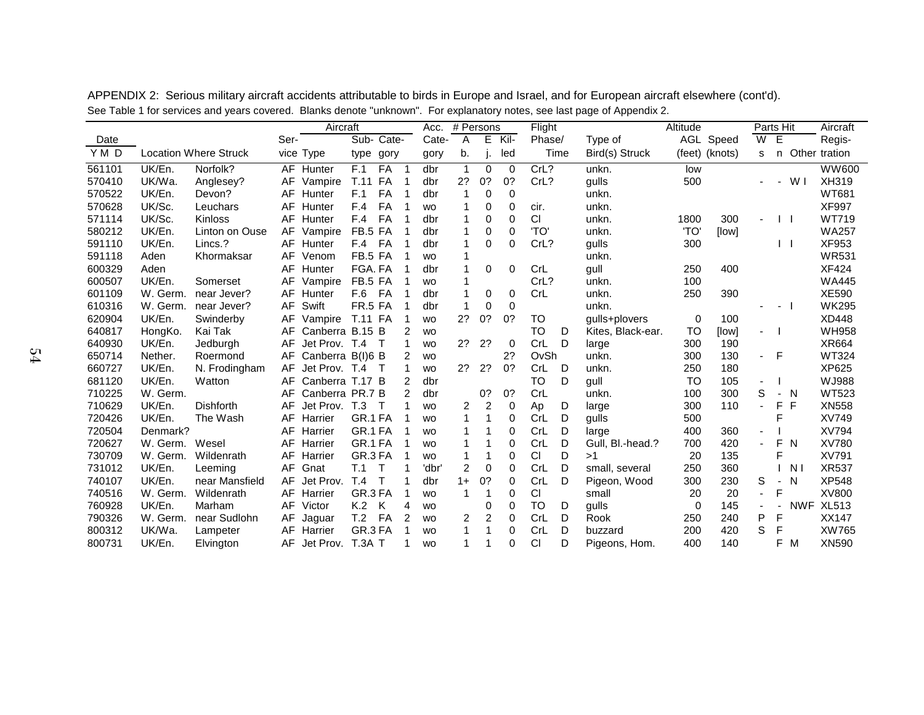|        |          |                              | Aircraft |                  |                 |        |    |           | # Persons<br>Acc. |    |          |                  |      |                   | Altitude  |                | Parts Hit      |                          |                | Aircraft      |
|--------|----------|------------------------------|----------|------------------|-----------------|--------|----|-----------|-------------------|----|----------|------------------|------|-------------------|-----------|----------------|----------------|--------------------------|----------------|---------------|
| Date   |          |                              | Ser-     |                  | Sub- Cate-      |        |    | Cate-     | A                 | E  | Kil-     | Flight<br>Phase/ |      | Type of           |           | AGL Speed      | W              | E                        |                | Regis-        |
| YMD    |          | <b>Location Where Struck</b> |          | vice Type        | type            | gory   |    | gory      | b.                |    | led      |                  | Time | Bird(s) Struck    |           | (feet) (knots) | s              | n                        |                | Other tration |
| 561101 | UK/En.   | Norfolk?                     |          | AF Hunter        | F.1             | FA     | -1 | dbr       | $\mathbf{1}$      | 0  | $\Omega$ | CrL?             |      | unkn.             | low       |                |                |                          |                | <b>WW600</b>  |
| 570410 | UK/Wa.   | Anglesey?                    | AF       | Vampire          | <b>T.11 FA</b>  |        | -1 | dbr       | 2?                | 0? | 0?       | CrL?             |      | gulls             | 500       |                |                | $\overline{\phantom{a}}$ | W I            | XH319         |
| 570522 | UK/En.   | Devon?                       | AF       | Hunter           | F.1             | FA     |    | dbr       | $\mathbf 1$       | 0  | $\Omega$ |                  |      | unkn.             |           |                |                |                          |                | <b>WT681</b>  |
| 570628 | UK/Sc.   | Leuchars                     | AF       | Hunter           | F.4             | FA     |    | <b>WO</b> |                   | 0  | $\Omega$ | cir.             |      | unkn.             |           |                |                |                          |                | <b>XF997</b>  |
| 571114 | UK/Sc.   | Kinloss                      | AF       | Hunter           | F.4             | FA     |    | dbr       | 1                 | 0  | $\Omega$ | CI               |      | unkn.             | 1800      | 300            |                | $\mathsf{L}$             |                | <b>WT719</b>  |
| 580212 | UK/En.   | Linton on Ouse               | AF       | Vampire          | FB.5 FA         |        |    | dbr       |                   | 0  | $\Omega$ | 'TO'             |      | unkn.             | <b>TO</b> | [low]          |                |                          |                | <b>WA257</b>  |
| 591110 | UK/En.   | Lincs.?                      | AF       | Hunter           | F.4             | FA     |    | dbr       |                   | 0  | 0        | CrL?             |      | gulls             | 300       |                |                | $\mathsf{L}$             |                | XF953         |
| 591118 | Aden     | Khormaksar                   | AF       | Venom            | FB.5 FA         |        |    | <b>WO</b> | 1                 |    |          |                  |      | unkn.             |           |                |                |                          |                | <b>WR531</b>  |
| 600329 | Aden     |                              | AF       | Hunter           | FGA. FA         |        |    | dbr       | 1                 | 0  | $\Omega$ | CrL              |      | gull              | 250       | 400            |                |                          |                | <b>XF424</b>  |
| 600507 | UK/En.   | Somerset                     | AF       | Vampire          | FB.5 FA         |        |    | <b>WO</b> |                   |    |          | CrL?             |      | unkn.             | 100       |                |                |                          |                | <b>WA445</b>  |
| 601109 | W. Germ. | near Jever?                  | AF       | Hunter           | F.6             | FA     |    | dbr       | 1                 | 0  | 0        | CrL              |      | unkn.             | 250       | 390            |                |                          |                | <b>XE590</b>  |
| 610316 | W. Germ. | near Jever?                  | AF       | Swift            | <b>FR.5 FA</b>  |        |    | dbr       | 1                 | 0  | $\Omega$ |                  |      | unkn.             |           |                |                |                          |                | <b>WK295</b>  |
| 620904 | UK/En.   | Swinderby                    | AF       | Vampire          | <b>T.11 FA</b>  |        | -1 | <b>WO</b> | 2?                | 0? | 0?       | то               |      | qulls+plovers     | 0         | 100            |                |                          |                | <b>XD448</b>  |
| 640817 | HongKo.  | Kai Tak                      | AF       | Canberra B.15 B  |                 |        | 2  | <b>WO</b> |                   |    |          | <b>TO</b>        | D    | Kites, Black-ear. | <b>TO</b> | [low]          | ٠              |                          |                | <b>WH958</b>  |
| 640930 | UK/En.   | Jedburgh                     | AF       | Jet Prov. T.4    |                 |        |    | <b>WO</b> | 2?                | 2? | $\Omega$ | CrL              | D    | large             | 300       | 190            |                |                          |                | XR664         |
| 650714 | Nether.  | Roermond                     | AF       | Canberra B(I)6 B |                 |        | 2  | <b>WO</b> |                   |    | 2?       | OvSh             |      | unkn.             | 300       | 130            | - F            |                          |                | <b>WT324</b>  |
| 660727 | UK/En.   | N. Frodingham                | AF       | Jet Prov. T.4    |                 | $\top$ |    | <b>WO</b> | 2?                | 2? | 0?       | CrL              | D    | unkn.             | 250       | 180            |                |                          |                | <b>XP625</b>  |
| 681120 | UK/En.   | Watton                       | AF       | Canberra T.17 B  |                 |        | 2  | dbr       |                   |    |          | TO               | D    | gull              | <b>TO</b> | 105            | $\blacksquare$ |                          |                | WJ988         |
| 710225 | W. Germ. |                              | AF       | Canberra PR.7 B  |                 |        | 2  | dbr       |                   | 0? | 0?       | CrL              |      | unkn.             | 100       | 300            | S              | - N                      |                | <b>WT523</b>  |
| 710629 | UK/En.   | <b>Dishforth</b>             | AF       | Jet Prov.        | T <sub>.3</sub> |        |    | <b>WO</b> | 2                 | 2  | 0        | Ap               | D    | large             | 300       | 110            | L,             | F                        | F              | XN558         |
| 720426 | UK/En.   | The Wash                     | AF       | Harrier          | GR.1 FA         |        |    | <b>WO</b> | 1                 | 1  | $\Omega$ | <b>CrL</b>       | D    | gulls             | 500       |                |                | F                        |                | XV749         |
| 720504 | Denmark? |                              | AF       | Harrier          | GR.1 FA         |        |    | <b>WO</b> |                   |    | $\Omega$ | CrL              | D    | large             | 400       | 360            | $\overline{a}$ |                          |                | XV794         |
| 720627 | W. Germ. | Wesel                        | AF       | Harrier          | GR.1 FA         |        |    | <b>WO</b> |                   |    | 0        | CrL              | D    | Gull, Bl.-head.?  | 700       | 420            | $\blacksquare$ | F                        | N              | XV780         |
| 730709 | W. Germ. | Wildenrath                   | AF       | Harrier          | GR.3 FA         |        |    | <b>WO</b> | 1                 | 1  | 0        | <b>CI</b>        | D    | >1                | 20        | 135            |                | F                        |                | XV791         |
| 731012 | UK/En.   | Leeming                      | AF       | Gnat             | T.1             | Т      |    | 'dbr      | $\overline{2}$    | 0  | $\Omega$ | CrL              | D    | small, several    | 250       | 360            |                |                          | N <sub>1</sub> | <b>XR537</b>  |
| 740107 | UK/En.   | near Mansfield               | AF       | Jet Prov.        | T.4             |        |    | dbr       | $1+$              | 0? | 0        | CrL              | D    | Pigeon, Wood      | 300       | 230            | S              | $\overline{\phantom{a}}$ | - N            | <b>XP548</b>  |
| 740516 | W. Germ. | Wildenrath                   | AF       | Harrier          | GR.3 FA         |        |    | <b>WO</b> | -1                |    | $\Omega$ | CI               |      | small             | 20        | 20             | $\blacksquare$ | F                        |                | XV800         |
| 760928 | UK/En.   | Marham                       | AF       | Victor           | K.2             | K      | 4  | <b>WO</b> |                   | 0  | 0        | <b>TO</b>        | D    | gulls             | 0         | 145            | ä,             |                          |                | NWF XL513     |
| 790326 | W. Germ. | near Sudlohn                 | AF       | Jaguar           | T.2             | FA     | 2  | <b>WO</b> | 2                 | 2  | 0        | <b>CrL</b>       | D    | Rook              | 250       | 240            | P              | F                        |                | XX147         |
| 800312 | UK/Wa.   | Lampeter                     | AF       | Harrier          | GR.3 FA         |        |    | <b>WO</b> | 1                 |    | $\Omega$ | CrL              | D    | buzzard           | 200       | 420            | S              | F                        |                | <b>XW765</b>  |
| 800731 | UK/En.   | Elvington                    | AF       | Jet Prov.        | T.3A T          |        |    | <b>WO</b> |                   |    | 0        | CI               | D    | Pigeons, Hom.     | 400       | 140            |                | F.                       | M              | XN590         |

APPENDIX 2: Serious military aircraft accidents attributable to birds in Europe and Israel, and for European aircraft elsewhere (cont'd). See Table 1 for services and years covered. Blanks denote "unknown". For explanatory notes, see last page of Appendix 2.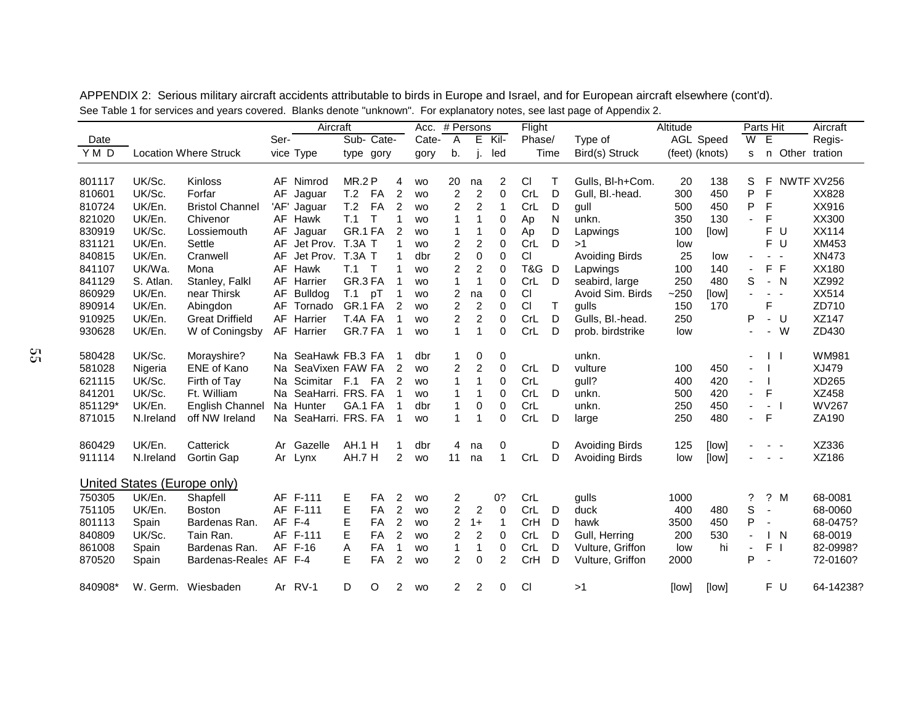|         |           |                              |      | Aircraft             |               |            |                | # Persons<br>Acc. |                         |                         | Flight       |            |      | . .                   | Altitude       |                  | Parts Hit      |                                                                                 |        | Aircraft        |
|---------|-----------|------------------------------|------|----------------------|---------------|------------|----------------|-------------------|-------------------------|-------------------------|--------------|------------|------|-----------------------|----------------|------------------|----------------|---------------------------------------------------------------------------------|--------|-----------------|
| Date    |           |                              | Ser- |                      |               | Sub- Cate- |                | Cate-             | A                       | E                       | Kil-         | Phase/     |      | Type of               |                | <b>AGL Speed</b> | $\overline{W}$ | E                                                                               |        | Regis-          |
| YMD     |           | <b>Location Where Struck</b> |      | vice Type            |               | type gory  |                | gory              | b.                      | j.                      | led          |            | Time | Bird(s) Struck        | (feet) (knots) |                  | s              |                                                                                 |        | n Other tration |
|         |           |                              |      |                      |               |            |                |                   |                         |                         |              |            |      |                       |                |                  |                |                                                                                 |        |                 |
| 801117  | UK/Sc.    | <b>Kinloss</b>               |      | AF Nimrod            | <b>MR.2 P</b> |            | 4              | <b>WO</b>         | 20                      | na                      | 2            | CI         | Τ    | Gulls, BI-h+Com.      | 20             | 138              | S              | F                                                                               |        | NWTF XV256      |
| 810601  | UK/Sc.    | Forfar                       | AF   | Jaguar               | T.2           | FA         | 2              | <b>WO</b>         | $\overline{\mathbf{c}}$ | $\overline{\mathbf{c}}$ | 0            | CrL        | D    | Gull. Bl.-head.       | 300            | 450              | P              | F                                                                               |        | XX828           |
| 810724  | UK/En.    | <b>Bristol Channel</b>       | 'AF' | Jaguar               | T.2           | FA         | 2              | <b>WO</b>         | 2                       | $\overline{2}$          | 1            | CrL        | D    | gull                  | 500            | 450              | P              | F                                                                               |        | XX916           |
| 821020  | UK/En.    | Chivenor                     |      | AF Hawk              | T.1           | $\top$     | 1              | <b>WO</b>         | 1                       | 1                       | 0            | Ap         | N    | unkn.                 | 350            | 130              |                | F                                                                               |        | XX300           |
| 830919  | UK/Sc.    | Lossiemouth                  | AF   | Jaguar               | GR.1 FA       |            | $\overline{2}$ | <b>WO</b>         | 1                       | 1                       | 0            | Ap         | D    | Lapwings              | 100            | [low]            |                | F.                                                                              | U      | XX114           |
| 831121  | UK/En.    | Settle                       | AF   | Jet Prov.            | T.3A T        |            | 1              | <b>WO</b>         | 2                       | $\overline{c}$          | 0            | CrL        | D    | >1                    | low            |                  |                |                                                                                 | F U    | XM453           |
| 840815  | UK/En.    | Cranwell                     | AF   | Jet Prov.            | <b>T.3A T</b> |            |                | dbr               | 2                       | 0                       | 0            | CI         |      | Avoiding Birds        | 25             | low              |                | $\blacksquare$                                                                  | $\sim$ | XN473           |
| 841107  | UK/Wa.    | Mona                         |      | AF Hawk              | T.1           | $\top$     | 1              | <b>WO</b>         | 2                       | $\overline{c}$          | 0            | T&G        | D    | Lapwings              | 100            | 140              |                | F F                                                                             |        | XX180           |
| 841129  | S. Atlan. | Stanley, Falkl               |      | AF Harrier           | GR.3 FA       |            | $\mathbf 1$    | <b>WO</b>         | 1                       | $\mathbf{1}$            | 0            | CrL        | D    | seabird, large        | 250            | 480              | S              | $- N$                                                                           |        | XZ992           |
| 860929  | UK/En.    | near Thirsk                  | AF   | <b>Bulldog</b>       | T.1           | рT         | 1              | <b>WO</b>         | 2                       | na                      | 0            | CI         |      | Avoid Sim. Birds      | $-250$         | [low]            | $\blacksquare$ | $\frac{1}{2} \left( \frac{1}{2} \right) \frac{1}{2} \left( \frac{1}{2} \right)$ |        | XX514           |
| 890914  | UK/En.    | Abingdon                     | AF   | Tornado              | GR.1 FA       |            | 2              | <b>WO</b>         | $\overline{c}$          | $\boldsymbol{2}$        | 0            | CI         | T    | gulls                 | 150            | 170              |                | F                                                                               |        | ZD710           |
| 910925  | UK/En.    | <b>Great Driffield</b>       |      | AF Harrier           | T.4A FA       |            | 1              | <b>WO</b>         | $\overline{2}$          | $\overline{c}$          | 0            | CrL        | D    | Gulls, Bl.-head.      | 250            |                  | P              |                                                                                 | - U    | XZ147           |
| 930628  | UK/En.    | W of Coningsby               |      | AF Harrier           | GR.7 FA       |            | 1              | <b>WO</b>         | 1                       | $\mathbf{1}$            | 0            | CrL        | D    | prob. birdstrike      | low            |                  |                | $\overline{\phantom{a}}$                                                        | W      | ZD430           |
|         |           |                              |      |                      |               |            |                |                   |                         |                         |              |            |      |                       |                |                  |                |                                                                                 |        |                 |
| 580428  | UK/Sc.    | Morayshire?                  |      | Na SeaHawk FB.3 FA   |               |            | -1             | dbr               | 1                       | 0                       | 0            |            |      | unkn.                 |                |                  |                | $\mathbf{1}$                                                                    |        | WM981           |
| 581028  | Nigeria   | <b>ENE of Kano</b>           | Na   | SeaVixen FAW FA      |               |            | 2              | <b>WO</b>         | $\overline{c}$          | $\overline{c}$          | $\mathbf 0$  | CrL        | D    | vulture               | 100            | 450              |                |                                                                                 |        | XJ479           |
| 621115  | UK/Sc.    | Firth of Tay                 |      | Na Scimitar F.1 FA   |               |            | 2              | <b>WO</b>         | 1                       | 1                       | 0            | CrL        |      | gull?                 | 400            | 420              | $\blacksquare$ |                                                                                 |        | XD265           |
| 841201  | UK/Sc.    | Ft. William                  |      | Na SeaHarri. FRS. FA |               |            |                | <b>WO</b>         | 1                       | 1                       | 0            | CrL        | D    | unkn.                 | 500            | 420              | $\blacksquare$ | F                                                                               |        | XZ458           |
| 851129* | UK/En.    | English Channel              |      | Na Hunter            | GA.1 FA       |            |                | dbr               | 1                       | 0                       | 0            | CrL        |      | unkn.                 | 250            | 450              | ÷              | $\blacksquare$                                                                  |        | <b>WV267</b>    |
| 871015  | N.Ireland | off NW Ireland               |      | Na SeaHarri. FRS. FA |               |            | 1              | <b>WO</b>         | 1                       | 1                       | $\Omega$     | CrL        | D    | large                 | 250            | 480              | $\blacksquare$ | F                                                                               |        | ZA190           |
| 860429  | UK/En.    | Catterick                    | Ar   | Gazelle              | AH.1 H        |            | 1              | dbr               | 4                       | na                      | 0            |            | D    | <b>Avoiding Birds</b> | 125            | [low]            |                | $\sim$ $ \sim$                                                                  |        | XZ336           |
| 911114  | N.Ireland | Gortin Gap                   | Ar   | Lynx                 | AH.7 H        |            | 2              | <b>WO</b>         | 11                      | na                      | $\mathbf{1}$ | CrL        | D    | <b>Avoiding Birds</b> | low            | [low]            |                | $\sim$ $ \sim$                                                                  |        | XZ186           |
|         |           |                              |      |                      |               |            |                |                   |                         |                         |              |            |      |                       |                |                  |                |                                                                                 |        |                 |
|         |           | United States (Europe only)  |      |                      |               |            |                |                   |                         |                         |              |            |      |                       |                |                  |                |                                                                                 |        |                 |
| 750305  | UK/En.    | Shapfell                     |      | AF F-111             | Е             | <b>FA</b>  | 2              | <b>WO</b>         | 2                       |                         | 0?           | CrL        |      | gulls                 | 1000           |                  | ?              |                                                                                 | ? M    | 68-0081         |
| 751105  | UK/En.    | <b>Boston</b>                |      | AF F-111             | E             | FA         | $\overline{2}$ | <b>WO</b>         | $\overline{c}$          | $\overline{c}$          | $\mathbf 0$  | CrL        | D    | duck                  | 400            | 480              | S              | $\overline{\phantom{a}}$                                                        |        | 68-0060         |
| 801113  | Spain     | Bardenas Ran.                |      | $AF$ $F-4$           | E             | FA         | $\overline{2}$ | <b>WO</b>         | 2                       | $1+$                    | 1            | CrH        | D    | hawk                  | 3500           | 450              | P              | $\sim$                                                                          |        | 68-0475?        |
| 840809  | UK/Sc.    | Tain Ran.                    |      | AF F-111             | Е             | <b>FA</b>  | 2              | <b>WO</b>         | 2                       | $\overline{2}$          | 0            | CrL        | D    | Gull, Herring         | 200            | 530              | $\blacksquare$ | $\mathsf{I}$ N                                                                  |        | 68-0019         |
| 861008  | Spain     | Bardenas Ran.                |      | AF F-16              | Α             | <b>FA</b>  | $\mathbf 1$    | <b>WO</b>         | $\mathbf{1}$            | 1                       | 0            | <b>CrL</b> | D    | Vulture, Griffon      | low            | hi               | $\overline{a}$ | F <sub>1</sub>                                                                  |        | 82-0998?        |
| 870520  | Spain     | Bardenas-Reales AF F-4       |      |                      | E             | FA         | 2              | <b>WO</b>         | $\overline{c}$          | 0                       | 2            | CrH        | D    | Vulture, Griffon      | 2000           |                  | P              | $\blacksquare$                                                                  |        | 72-0160?        |
|         |           |                              |      |                      |               |            |                |                   |                         |                         |              |            |      |                       |                |                  |                |                                                                                 |        |                 |
| 840908* | W. Germ.  | Wiesbaden                    |      | Ar RV-1              | D             | O          | 2              | <b>WO</b>         | 2                       | 2                       | 0            | C1         |      | >1                    | [low]          | [low]            |                |                                                                                 | F U    | 64-14238?       |

APPENDIX 2: Serious military aircraft accidents attributable to birds in Europe and Israel, and for European aircraft elsewhere (cont'd). See Table 1 for services and years covered. Blanks denote "unknown". For explanatory notes, see last page of Appendix 2.